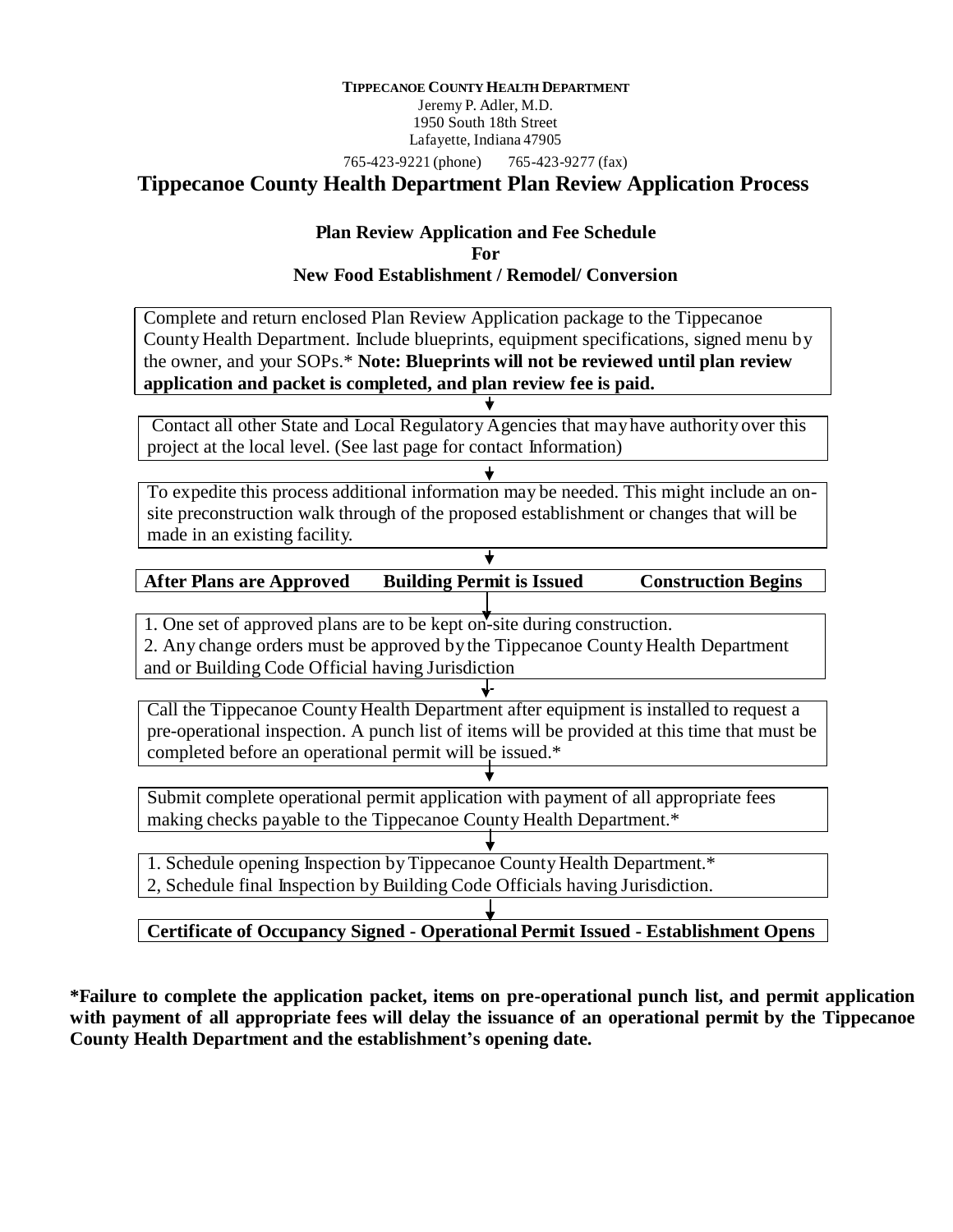#### **TIPPECANOE COUNTY HEALTH DEPARTMENT**

Jeremy P. Adler, M.D. 1950 South 18th Street Lafayette, Indiana 47905

765-423-9221 (phone) 765-423-9277 (fax)

# **Tippecanoe County Health Department Plan Review Application Process**

#### **Plan Review Application and Fee Schedule For New Food Establishment / Remodel/ Conversion**

Complete and return enclosed Plan Review Application package to the Tippecanoe County Health Department. Include blueprints, equipment specifications, signed menu by the owner, and your SOPs.\* **Note: Blueprints will not be reviewed until plan review application and packet is completed, and plan review fee is paid.**

Contact all other State and Local Regulatory Agencies that mayhave authority over this project at the local level. (See last page for contact Information)

To expedite this process additional information may be needed. This might include an onsite preconstruction walk through of the proposed establishment or changes that will be made in an existing facility.

| <b>After Plans are Approved</b> | <b>Building Permit is Issued</b> | <b>Construction Begins</b> |
|---------------------------------|----------------------------------|----------------------------|
|                                 |                                  |                            |

1. One set of approved plans are to be kept on-site during construction. 2. Any change orders must be approved by the Tippecanoe County Health Department and or Building Code Official having Jurisdiction

Call the Tippecanoe County Health Department after equipment is installed to request a pre-operational inspection. A punch list of items will be provided at this time that must be completed before an operational permit will be issued.\*

Submit complete operational permit application with payment of all appropriate fees making checks payable to the Tippecanoe County Health Department.\*

1. Schedule opening Inspection byTippecanoe County Health Department.\*

2, Schedule final Inspection by Building Code Officials having Jurisdiction.

**Certificate of Occupancy Signed - Operational Permit Issued - Establishment Opens**

**\*Failure to complete the application packet, items on pre-operational punch list, and permit application with payment of all appropriate fees will delay the issuance of an operational permit by the Tippecanoe County Health Department and the establishment's opening date.**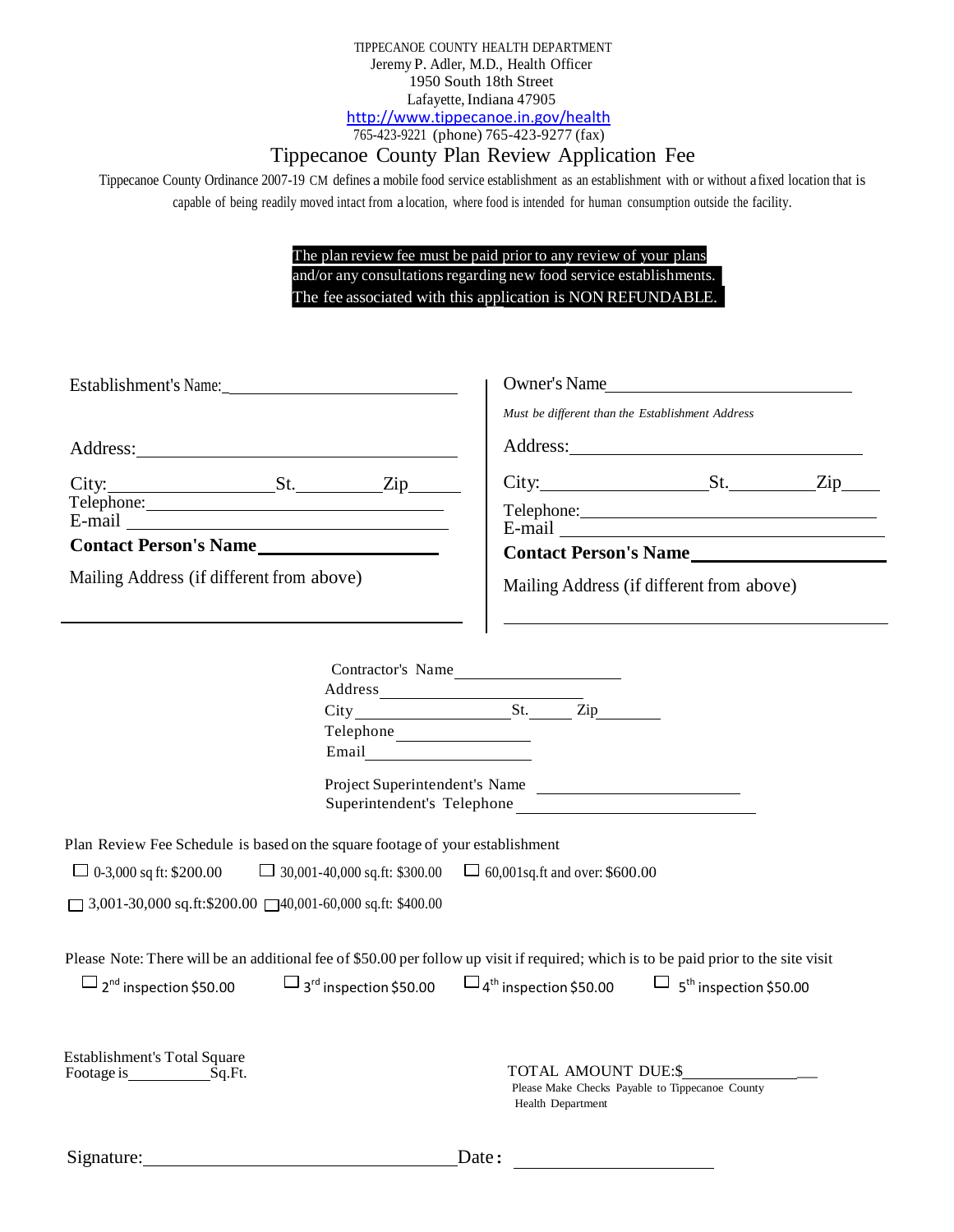TIPPECANOE COUNTY HEALTH DEPARTMENT Jeremy P. Adler, M.D., Health Officer 1950 South 18th Street Lafayette, Indiana 47905 <http://www.tippecanoe.in.gov/health> 765-423-9221 (phone) 765-423-9277 (fax)

# Tippecanoe County Plan Review Application Fee

Tippecanoe County Ordinance 2007-19 CM defines a mobile food service establishment as an establishment with or without afixed location that is capable of being readily moved intact from a location, where food is intended for human consumption outside the facility.

> The plan review fee must be paid prior to any review of your plans and/or any consultations regarding new food service establishments. The fee associated with this application is NON REFUNDABLE.

| Establishment's Name:                                                                                                                                                                                                                                                                                           |       | Owner's Name                                                                                                                      |                                                 |  |  |
|-----------------------------------------------------------------------------------------------------------------------------------------------------------------------------------------------------------------------------------------------------------------------------------------------------------------|-------|-----------------------------------------------------------------------------------------------------------------------------------|-------------------------------------------------|--|--|
|                                                                                                                                                                                                                                                                                                                 |       | Must be different than the Establishment Address                                                                                  |                                                 |  |  |
|                                                                                                                                                                                                                                                                                                                 |       |                                                                                                                                   |                                                 |  |  |
| $City:$ $St.$ $Zip$                                                                                                                                                                                                                                                                                             |       |                                                                                                                                   |                                                 |  |  |
|                                                                                                                                                                                                                                                                                                                 |       |                                                                                                                                   |                                                 |  |  |
| Contact Person's Name                                                                                                                                                                                                                                                                                           |       |                                                                                                                                   |                                                 |  |  |
|                                                                                                                                                                                                                                                                                                                 |       |                                                                                                                                   | Contact Person's Name                           |  |  |
| Mailing Address (if different from above)                                                                                                                                                                                                                                                                       |       |                                                                                                                                   | Mailing Address (if different from above)       |  |  |
| Plan Review Fee Schedule is based on the square footage of your establishment<br>$\Box$ 0-3,000 sq ft: \$200.00<br>$\Box$ 3,001-30,000 sq.ft:\$200.00 $\Box$ 40,001-60,000 sq.ft: \$400.00                                                                                                                      | Email | Contractor's Name<br>Project Superintendent's Name<br>$\Box$ 30,001-40,000 sq.ft: \$300.00 $\Box$ 60,001 sq.ft and over: \$600.00 |                                                 |  |  |
| Please Note: There will be an additional fee of \$50.00 per follow up visit if required; which is to be paid prior to the site visit<br>$\Box$ 2 <sup>nd</sup> inspection \$50.00 $\Box$ 3 <sup>rd</sup> inspection \$50.00 $\Box$ 4 <sup>th</sup> inspection \$50.00 $\Box$ 5 <sup>th</sup> inspection \$50.00 |       |                                                                                                                                   |                                                 |  |  |
| <b>Establishment's Total Square</b><br>Footage is Sq.Ft.                                                                                                                                                                                                                                                        |       | TOTAL AMOUNT DUE:\$<br>Health Department                                                                                          | Please Make Checks Payable to Tippecanoe County |  |  |
| Signature:                                                                                                                                                                                                                                                                                                      |       | Date:                                                                                                                             |                                                 |  |  |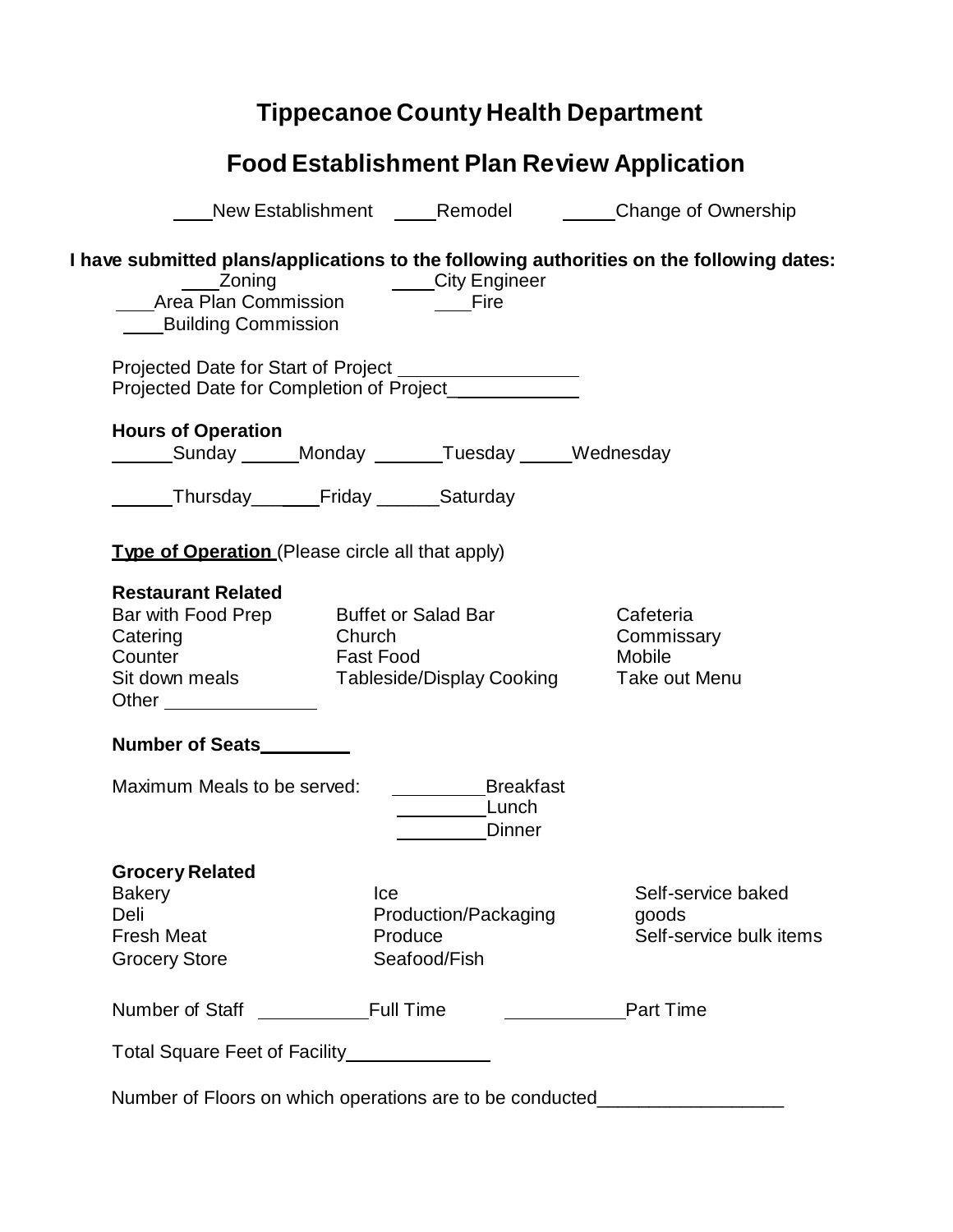# **Tippecanoe County Health Department**

|                                                                     |           |                      | New Establishment ______Remodel ___________Change of Ownership                           |
|---------------------------------------------------------------------|-----------|----------------------|------------------------------------------------------------------------------------------|
|                                                                     |           |                      |                                                                                          |
|                                                                     |           |                      | I have submitted plans/applications to the following authorities on the following dates: |
|                                                                     |           |                      |                                                                                          |
|                                                                     |           |                      |                                                                                          |
| <b>Building Commission</b>                                          |           |                      |                                                                                          |
| Projected Date for Start of Project __________________              |           |                      |                                                                                          |
| Projected Date for Completion of Project_                           |           |                      |                                                                                          |
| <b>Hours of Operation</b>                                           |           |                      |                                                                                          |
| Sunday ______Monday _______Tuesday _____Wednesday                   |           |                      |                                                                                          |
|                                                                     |           |                      |                                                                                          |
| Thursday Friday Saturday                                            |           |                      |                                                                                          |
| <b>Type of Operation</b> (Please circle all that apply)             |           |                      |                                                                                          |
|                                                                     |           |                      |                                                                                          |
| <b>Restaurant Related</b><br>Bar with Food Prep Buffet or Salad Bar |           |                      | Cafeteria                                                                                |
| Catering                                                            | Church    |                      | Commissary                                                                               |
| Counter                                                             | Fast Food |                      | Mobile                                                                                   |
| Sit down meals Tableside/Display Cooking                            |           |                      | Take out Menu                                                                            |
| Other ________________                                              |           |                      |                                                                                          |
| Number of Seats_________                                            |           |                      |                                                                                          |
| Maximum Meals to be served:                                         |           | <b>Breakfast</b>     |                                                                                          |
|                                                                     |           | Lunch                |                                                                                          |
|                                                                     |           | <b>Dinner</b>        |                                                                                          |
| <b>Grocery Related</b>                                              |           |                      |                                                                                          |
| <b>Bakery</b>                                                       | Ice       |                      | Self-service baked                                                                       |
| Deli                                                                |           | Production/Packaging | goods                                                                                    |
| <b>Fresh Meat</b>                                                   |           | Produce              | Self-service bulk items                                                                  |
| <b>Grocery Store</b>                                                |           | Seafood/Fish         |                                                                                          |
| Number of Staff Full Time                                           |           |                      | Part Time                                                                                |
|                                                                     |           |                      |                                                                                          |

Number of Floors on which operations are to be conducted\_\_\_\_\_\_\_\_\_\_\_\_\_\_\_\_\_\_\_\_\_\_\_\_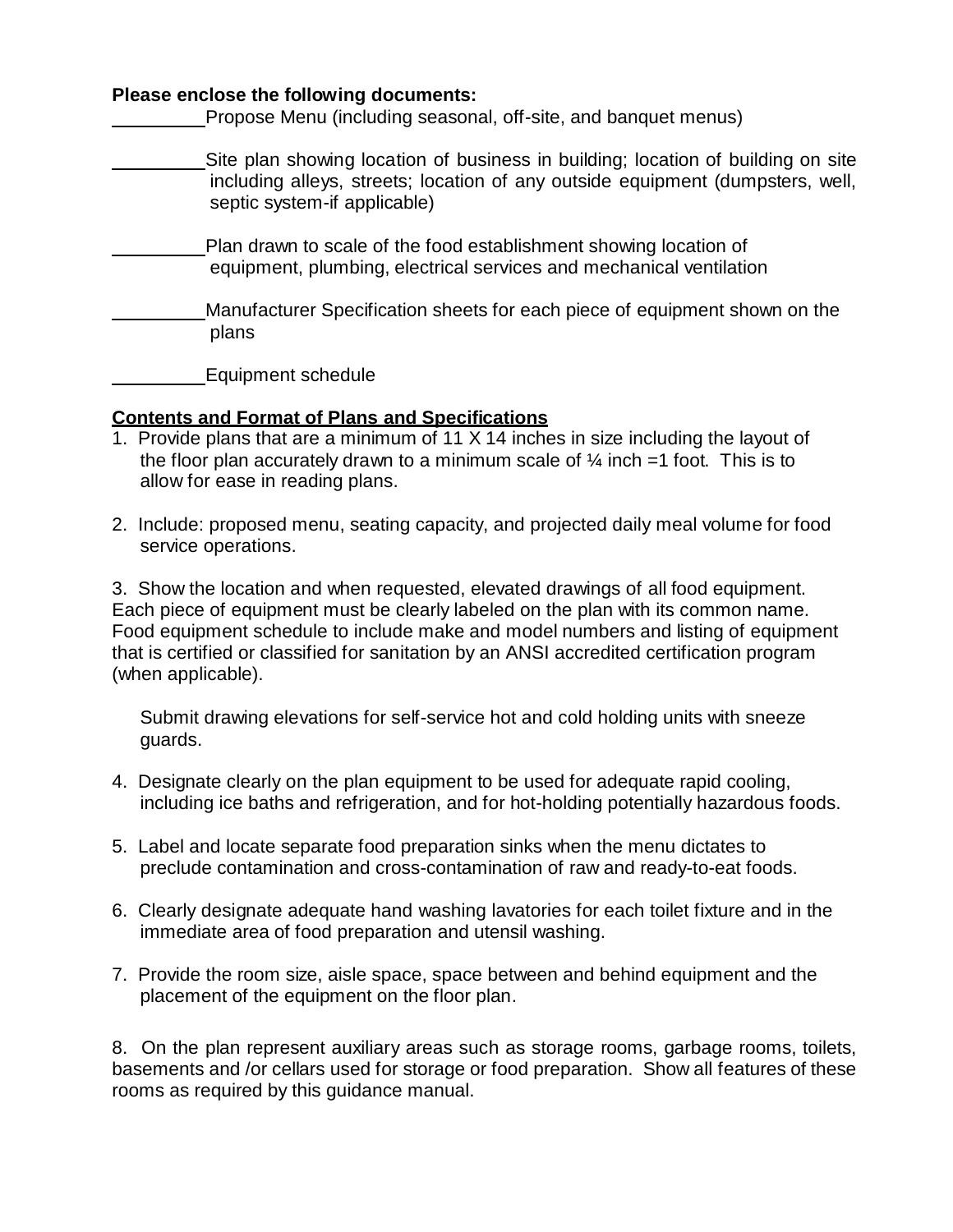#### **Please enclose the following documents:**

Propose Menu (including seasonal, off-site, and banquet menus)

- Site plan showing location of business in building; location of building on site including alleys, streets; location of any outside equipment (dumpsters, well, septic system-if applicable)
- Plan drawn to scale of the food establishment showing location of equipment, plumbing, electrical services and mechanical ventilation
- Manufacturer Specification sheets for each piece of equipment shown on the plans

Equipment schedule

## **Contents and Format of Plans and Specifications**

- 1. Provide plans that are a minimum of 11 X 14 inches in size including the layout of the floor plan accurately drawn to a minimum scale of  $\frac{1}{4}$  inch  $=1$  foot. This is to allow for ease in reading plans.
- 2. Include: proposed menu, seating capacity, and projected daily meal volume for food service operations.

3. Show the location and when requested, elevated drawings of all food equipment. Each piece of equipment must be clearly labeled on the plan with its common name. Food equipment schedule to include make and model numbers and listing of equipment that is certified or classified for sanitation by an ANSI accredited certification program (when applicable).

Submit drawing elevations for self-service hot and cold holding units with sneeze guards.

- 4. Designate clearly on the plan equipment to be used for adequate rapid cooling, including ice baths and refrigeration, and for hot-holding potentially hazardous foods.
- 5. Label and locate separate food preparation sinks when the menu dictates to preclude contamination and cross-contamination of raw and ready-to-eat foods.
- 6. Clearly designate adequate hand washing lavatories for each toilet fixture and in the immediate area of food preparation and utensil washing.
- 7. Provide the room size, aisle space, space between and behind equipment and the placement of the equipment on the floor plan.

8. On the plan represent auxiliary areas such as storage rooms, garbage rooms, toilets, basements and /or cellars used for storage or food preparation. Show all features of these rooms as required by this guidance manual.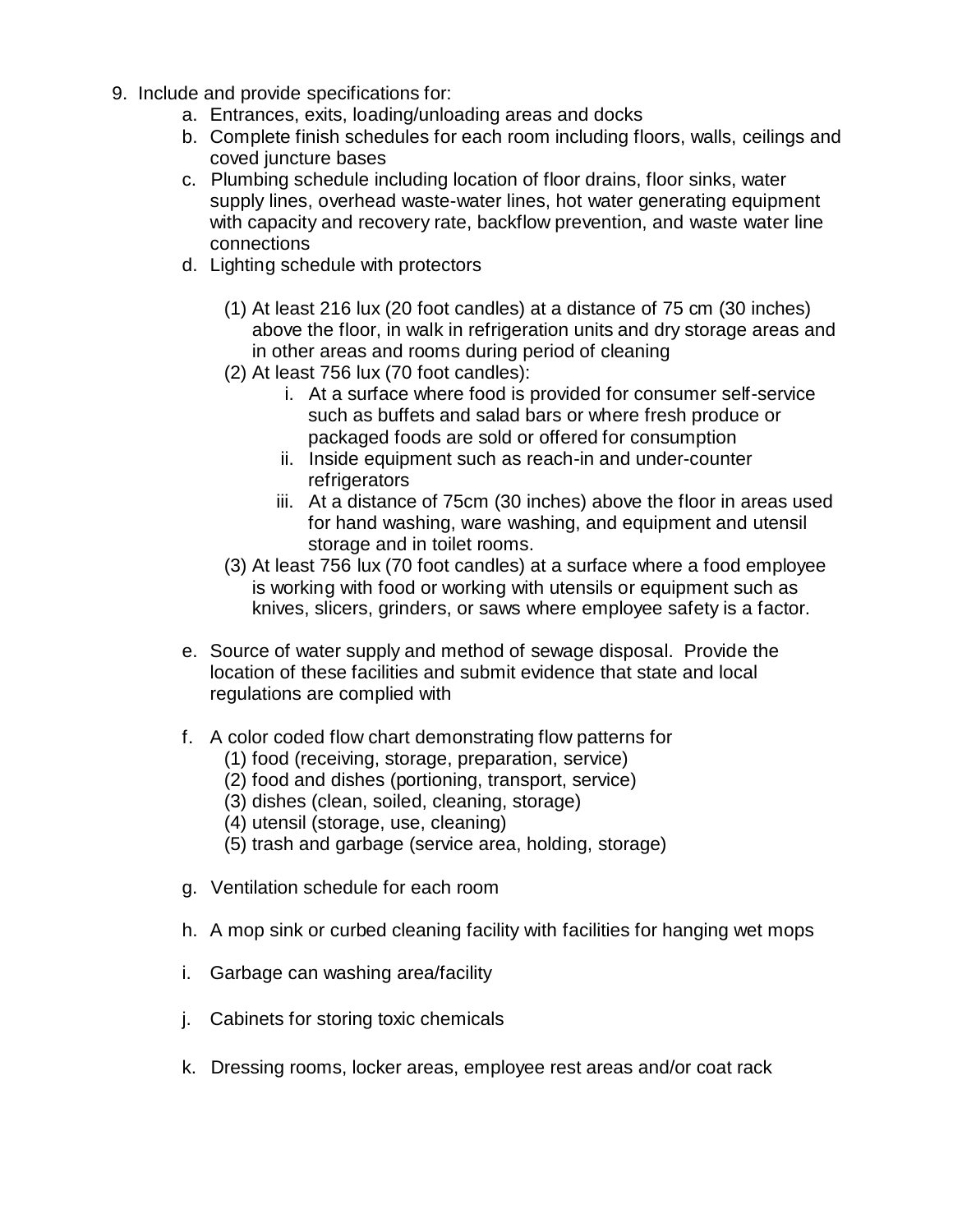- 9. Include and provide specifications for:
	- a. Entrances, exits, loading/unloading areas and docks
	- b. Complete finish schedules for each room including floors, walls, ceilings and coved juncture bases
	- c. Plumbing schedule including location of floor drains, floor sinks, water supply lines, overhead waste-water lines, hot water generating equipment with capacity and recovery rate, backflow prevention, and waste water line connections
	- d. Lighting schedule with protectors
		- (1) At least 216 lux (20 foot candles) at a distance of 75 cm (30 inches) above the floor, in walk in refrigeration units and dry storage areas and in other areas and rooms during period of cleaning
		- (2) At least 756 lux (70 foot candles):
			- i. At a surface where food is provided for consumer self-service such as buffets and salad bars or where fresh produce or packaged foods are sold or offered for consumption
			- ii. Inside equipment such as reach-in and under-counter refrigerators
			- iii. At a distance of 75cm (30 inches) above the floor in areas used for hand washing, ware washing, and equipment and utensil storage and in toilet rooms.
		- (3) At least 756 lux (70 foot candles) at a surface where a food employee is working with food or working with utensils or equipment such as knives, slicers, grinders, or saws where employee safety is a factor.
	- e. Source of water supply and method of sewage disposal. Provide the location of these facilities and submit evidence that state and local regulations are complied with
	- f. A color coded flow chart demonstrating flow patterns for
		- (1) food (receiving, storage, preparation, service)
		- (2) food and dishes (portioning, transport, service)
		- (3) dishes (clean, soiled, cleaning, storage)
		- (4) utensil (storage, use, cleaning)
		- (5) trash and garbage (service area, holding, storage)
	- g. Ventilation schedule for each room
	- h. A mop sink or curbed cleaning facility with facilities for hanging wet mops
	- i. Garbage can washing area/facility
	- j. Cabinets for storing toxic chemicals
	- k. Dressing rooms, locker areas, employee rest areas and/or coat rack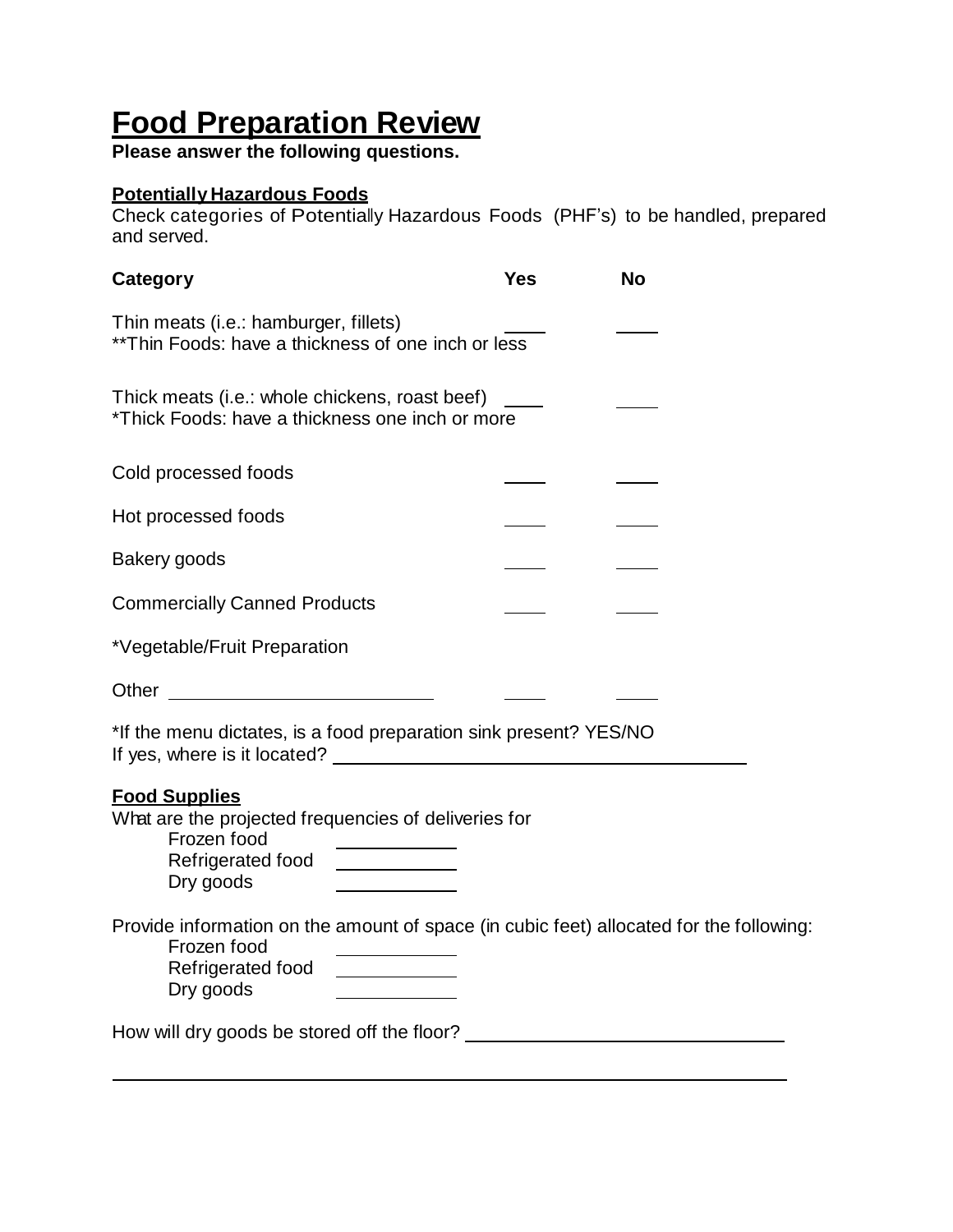# **Food Preparation Review**

**Please answer the following questions.**

# **Potentially Hazardous Foods**

Check categories of Potentially Hazardous Foods (PHF's) to be handled, prepared and served.

| Category                                                                                                                                                                                                                                                                                                                                                              | <b>Yes</b> | <b>No</b> |
|-----------------------------------------------------------------------------------------------------------------------------------------------------------------------------------------------------------------------------------------------------------------------------------------------------------------------------------------------------------------------|------------|-----------|
| Thin meats (i.e.: hamburger, fillets)<br>** Thin Foods: have a thickness of one inch or less                                                                                                                                                                                                                                                                          |            |           |
| Thick meats (i.e.: whole chickens, roast beef)<br>*Thick Foods: have a thickness one inch or more                                                                                                                                                                                                                                                                     |            |           |
| Cold processed foods                                                                                                                                                                                                                                                                                                                                                  |            |           |
| Hot processed foods                                                                                                                                                                                                                                                                                                                                                   |            |           |
| Bakery goods                                                                                                                                                                                                                                                                                                                                                          |            |           |
| <b>Commercially Canned Products</b>                                                                                                                                                                                                                                                                                                                                   |            |           |
| *Vegetable/Fruit Preparation                                                                                                                                                                                                                                                                                                                                          |            |           |
|                                                                                                                                                                                                                                                                                                                                                                       |            |           |
| *If the menu dictates, is a food preparation sink present? YES/NO<br>If yes, where is it located?                                                                                                                                                                                                                                                                     |            |           |
| <b>Food Supplies</b><br>What are the projected frequencies of deliveries for<br>Frozen food<br>Refrigerated food<br><u> 1989 - Jan Stein Stein Stein Stein Stein Stein Stein Stein Stein Stein Stein Stein Stein Stein Stein Stein Stein Stein Stein Stein Stein Stein Stein Stein Stein Stein Stein Stein Stein Stein Stein Stein Stein Stein Stein</u><br>Dry goods |            |           |
| Provide information on the amount of space (in cubic feet) allocated for the following:<br>Frozen food<br>Refrigerated food<br>Dry goods                                                                                                                                                                                                                              |            |           |
| How will dry goods be stored off the floor? ______                                                                                                                                                                                                                                                                                                                    |            |           |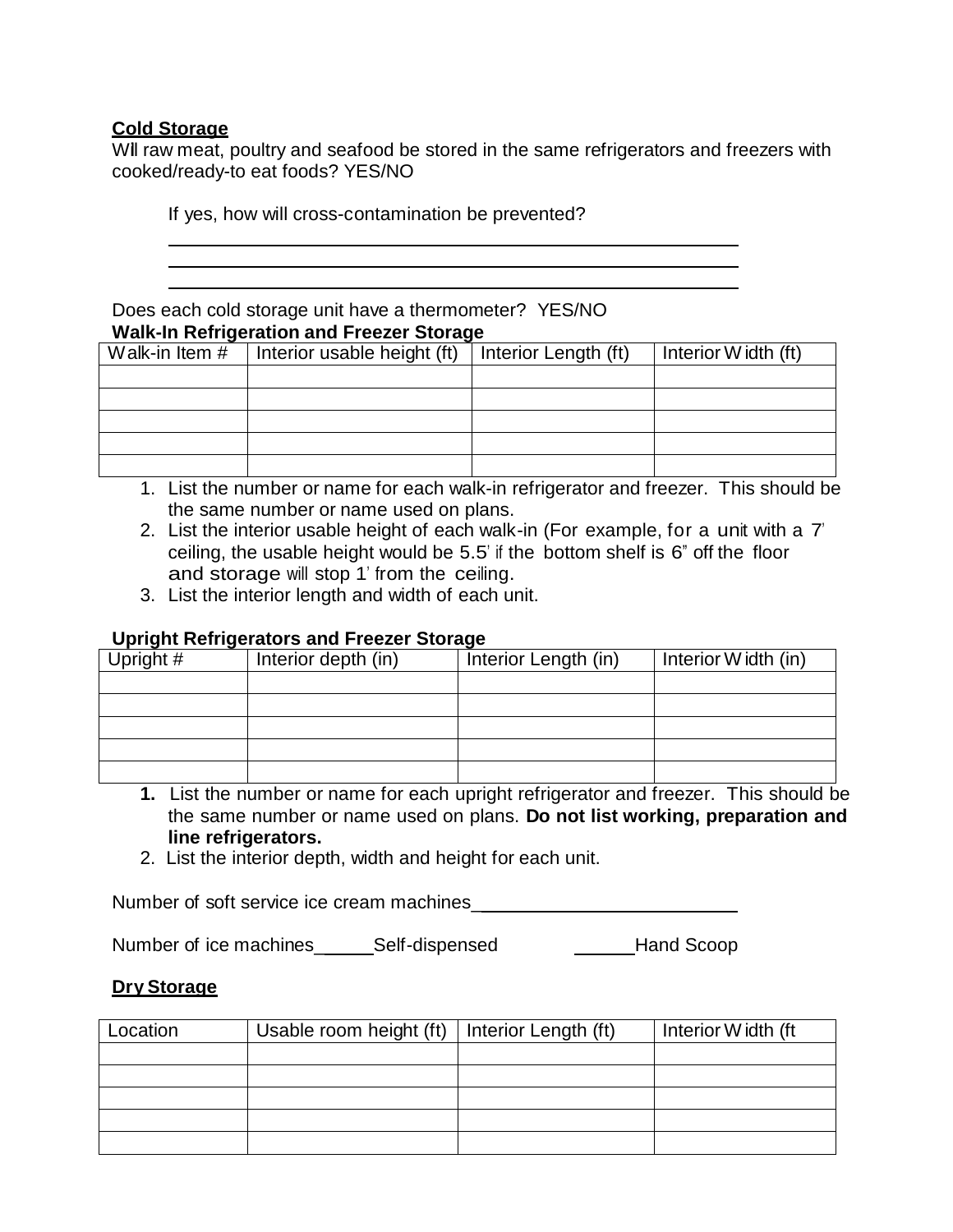## **Cold Storage**

Will raw meat, poultry and seafood be stored in the same refrigerators and freezers with cooked/ready-to eat foods? YES/NO

If yes, how will cross-contamination be prevented?

Does each cold storage unit have a thermometer? YES/NO **Walk-In Refrigeration and Freezer Storage**

| Walk-in Item # | Interior usable height (ft) | Interior Length (ft) | Interior Width (ft) |
|----------------|-----------------------------|----------------------|---------------------|
|                |                             |                      |                     |
|                |                             |                      |                     |
|                |                             |                      |                     |
|                |                             |                      |                     |
|                |                             |                      |                     |

- 1. List the number or name for each walk-in refrigerator and freezer. This should be the same number or name used on plans.
- 2. List the interior usable height of each walk-in (For example, for a unit with a 7' ceiling, the usable height would be 5.5' if the bottom shelf is 6" off the floor and storage will stop 1' from the ceiling.
- 3. List the interior length and width of each unit.

#### **Upright Refrigerators and Freezer Storage**

| Upright # | Interior depth (in) | Interior Length (in) | Interior Width (in) |
|-----------|---------------------|----------------------|---------------------|
|           |                     |                      |                     |
|           |                     |                      |                     |
|           |                     |                      |                     |
|           |                     |                      |                     |
|           |                     |                      |                     |

- **1.** List the number or name for each upright refrigerator and freezer. This should be the same number or name used on plans. **Do not list working, preparation and line refrigerators.**
- 2. List the interior depth, width and height for each unit.

Number of soft service ice cream machines\_

Number of ice machines\_ Self-dispensed Hand Scoop

## **Dry Storage**

| Location | Usable room height (ft)   Interior Length (ft) | Interior Width (ft |
|----------|------------------------------------------------|--------------------|
|          |                                                |                    |
|          |                                                |                    |
|          |                                                |                    |
|          |                                                |                    |
|          |                                                |                    |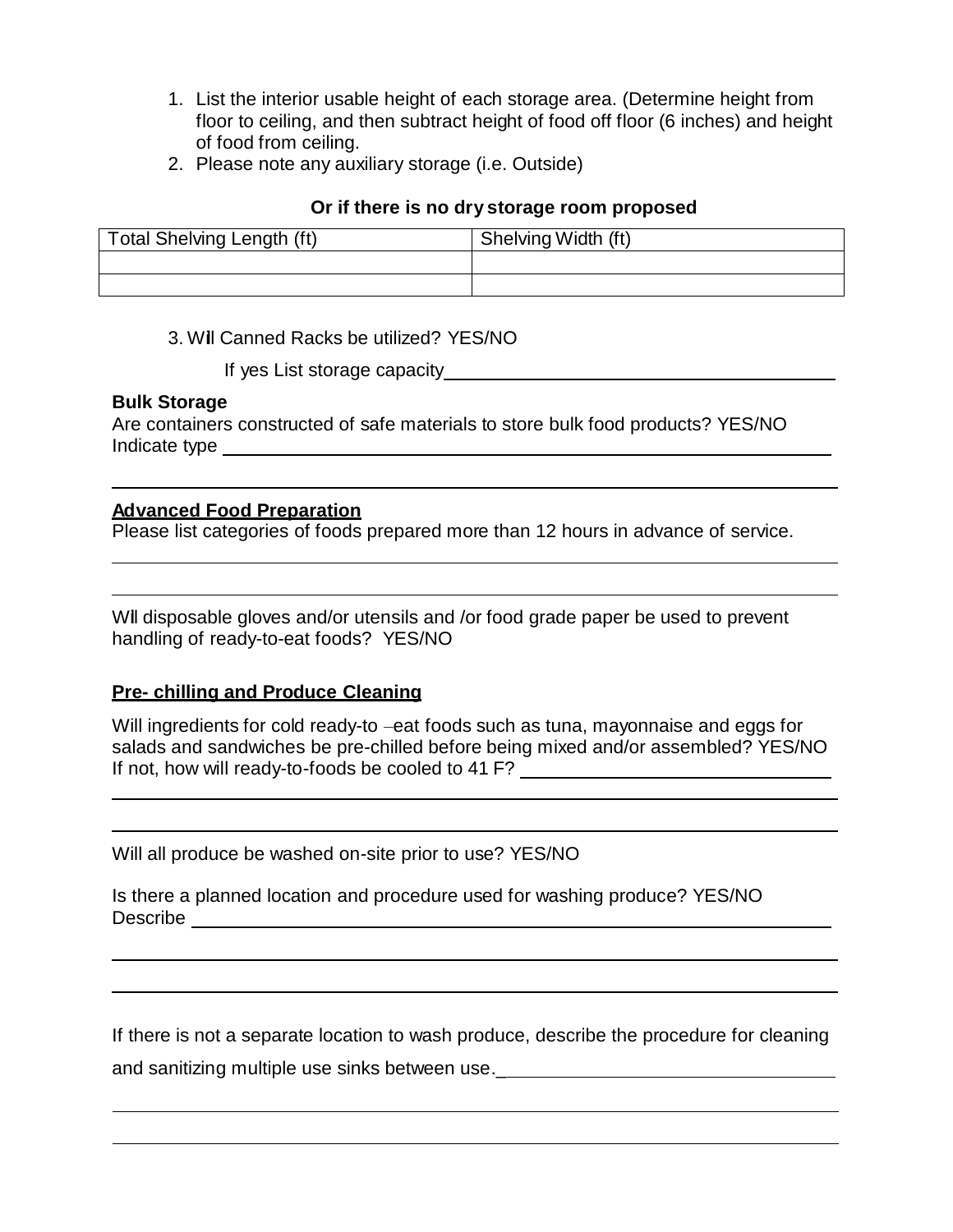- 1. List the interior usable height of each storage area. (Determine height from floor to ceiling, and then subtract height of food off floor (6 inches) and height of food from ceiling.
- 2. Please note any auxiliary storage (i.e. Outside)

#### **Or if there is no dry storage room proposed**

| Total Shelving Length (ft) | Shelving Width (ft) |
|----------------------------|---------------------|
|                            |                     |
|                            |                     |

## 3. Will Canned Racks be utilized? YES/NO

If yes List storage capacity

## **Bulk Storage**

Are containers constructed of safe materials to store bulk food products? YES/NO Indicate type

## **Advanced Food Preparation**

Please list categories of foods prepared more than 12 hours in advance of service.

Will disposable gloves and/or utensils and /or food grade paper be used to prevent handling of ready-to-eat foods? YES/NO

## **Pre- chilling and Produce Cleaning**

Will ingredients for cold ready-to –eat foods such as tuna, mayonnaise and eggs for salads and sandwiches be pre-chilled before being mixed and/or assembled? YES/NO If not, how will ready-to-foods be cooled to 41 F?

Will all produce be washed on-site prior to use? YES/NO

| Is there a planned location and procedure used for washing produce? YES/NO |  |  |  |  |  |
|----------------------------------------------------------------------------|--|--|--|--|--|
| Describe                                                                   |  |  |  |  |  |

If there is not a separate location to wash produce, describe the procedure for cleaning and sanitizing multiple use sinks between use.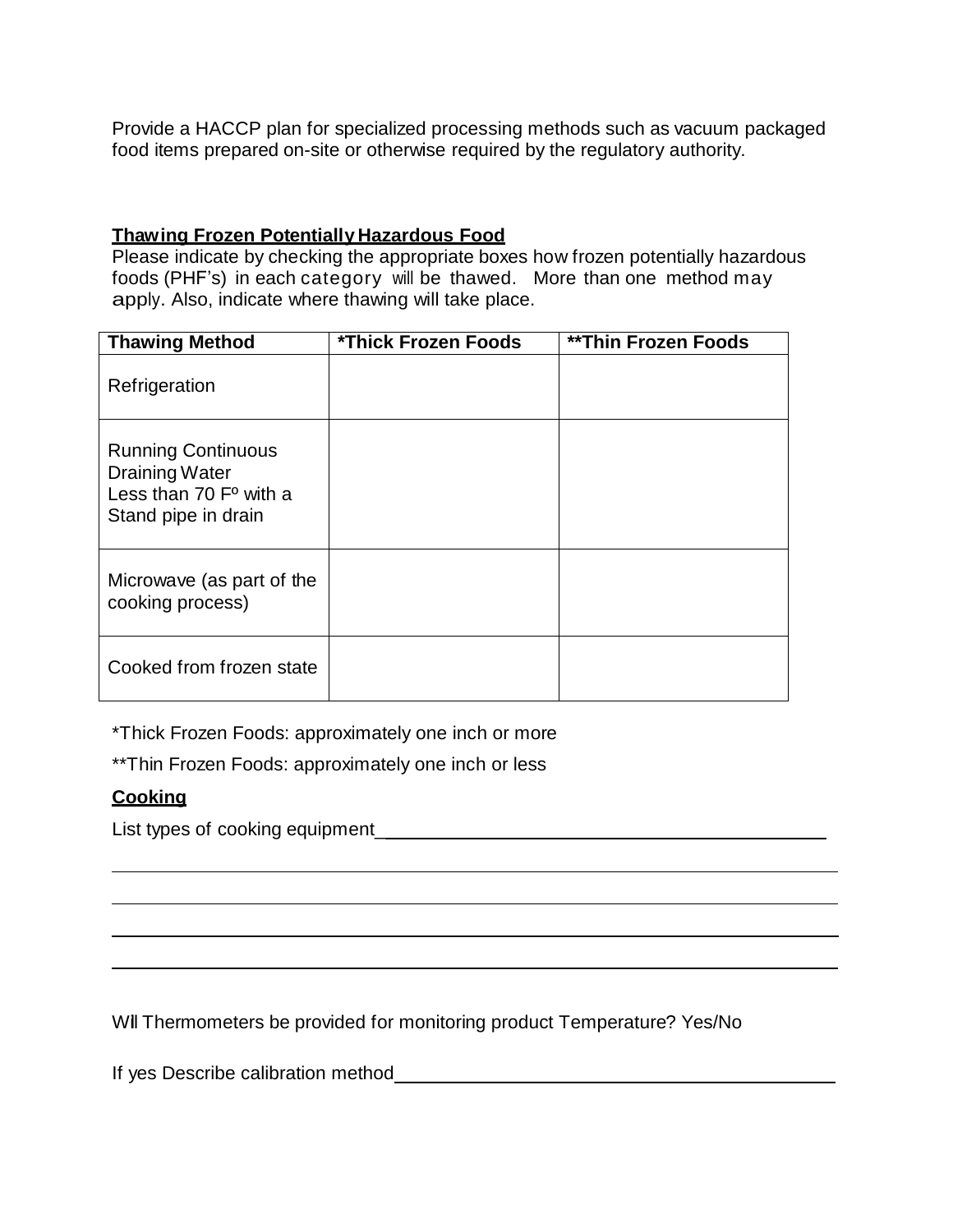Provide a HACCP plan for specialized processing methods such as vacuum packaged food items prepared on-site or otherwise required by the regulatory authority.

## **Thawing Frozen Potentially Hazardous Food**

Please indicate by checking the appropriate boxes how frozen potentially hazardous foods (PHF's) in each category will be thawed. More than one method may apply. Also, indicate where thawing will take place.

| <b>Thawing Method</b>                                                                                 | *Thick Frozen Foods | <b>**Thin Frozen Foods</b> |
|-------------------------------------------------------------------------------------------------------|---------------------|----------------------------|
| Refrigeration                                                                                         |                     |                            |
| <b>Running Continuous</b><br><b>Draining Water</b><br>Less than $70 Fo$ with a<br>Stand pipe in drain |                     |                            |
| Microwave (as part of the<br>cooking process)                                                         |                     |                            |
| Cooked from frozen state                                                                              |                     |                            |

\*Thick Frozen Foods: approximately one inch or more

\*\*Thin Frozen Foods: approximately one inch or less

## **Cooking**

List types of cooking equipment\_

Will Thermometers be provided for monitoring product Temperature? Yes/No

If yes Describe calibration method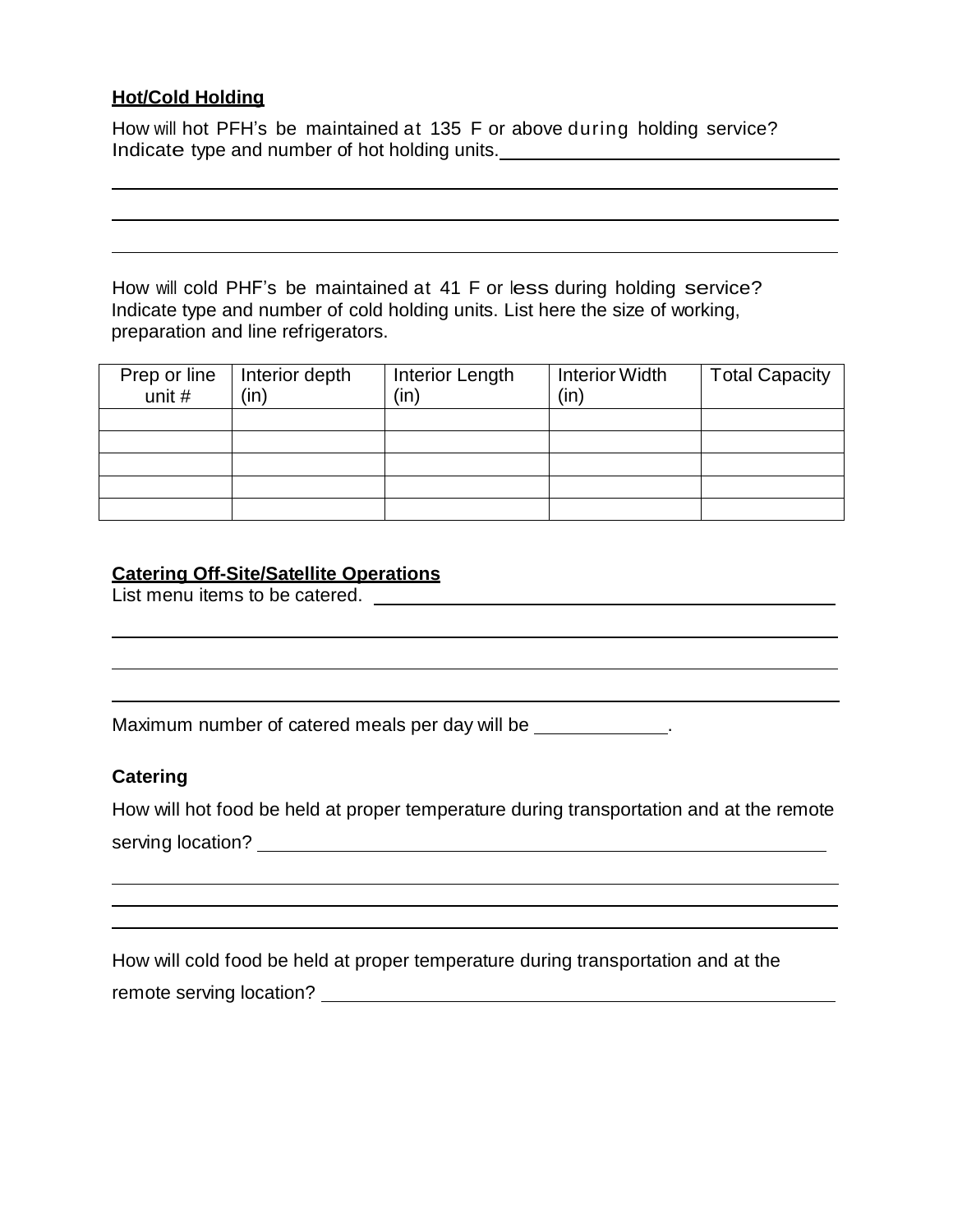# **Hot/Cold Holding**

How will hot PFH's be maintained at 135 F or above during holding service? Indicate type and number of hot holding units. \_\_\_\_\_\_\_\_\_\_\_\_\_\_\_\_\_\_\_\_\_\_\_\_\_\_\_\_\_

How will cold PHF's be maintained at 41 F or less during holding service? Indicate type and number of cold holding units. List here the size of working, preparation and line refrigerators.

| Prep or line | Interior depth | Interior Length | <b>Interior Width</b> | <b>Total Capacity</b> |
|--------------|----------------|-----------------|-----------------------|-----------------------|
| unit $#$     | (in)           | (in)            | (in)                  |                       |
|              |                |                 |                       |                       |
|              |                |                 |                       |                       |
|              |                |                 |                       |                       |
|              |                |                 |                       |                       |
|              |                |                 |                       |                       |

## **Catering Off-Site/Satellite Operations**

List menu items to be catered.

Maximum number of catered meals per day will be \_\_\_\_\_\_\_\_\_\_\_\_\_.

## **Catering**

How will hot food be held at proper temperature during transportation and at the remote serving location?

How will cold food be held at proper temperature during transportation and at the remote serving location?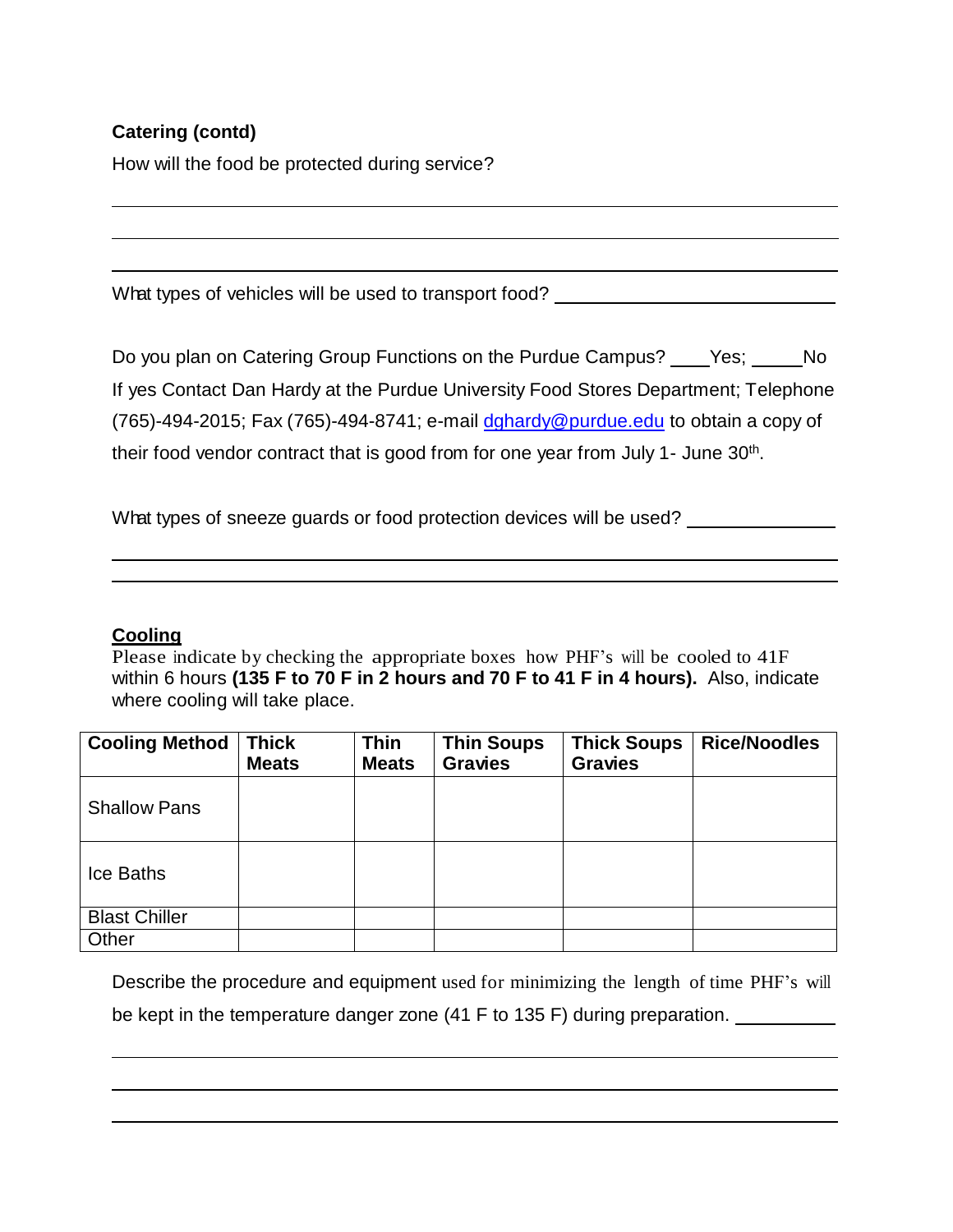# **Catering (contd)**

How will the food be protected during service?

What types of vehicles will be used to transport food?

Do you plan on Catering Group Functions on the Purdue Campus? Ves; No If yes Contact Dan Hardy at the Purdue University Food Stores Department; Telephone (765)-494-2015; Fax (765)-494-8741; e-mail [dghardy@purdue.edu](mailto:dghardy@purdue.edu) to obtain a copy of their food vendor contract that is good from for one year from July 1- June 30<sup>th</sup>.

What types of sneeze guards or food protection devices will be used?

# **Cooling**

Please indicate by checking the appropriate boxes how PHF's will be cooled to 41F within 6 hours **(135 F to 70 F in 2 hours and 70 F to 41 F in 4 hours).** Also, indicate where cooling will take place.

| <b>Cooling Method</b> | <b>Thick</b> | <b>Thin</b>  | <b>Thin Soups</b> | <b>Thick Soups</b> | <b>Rice/Noodles</b> |
|-----------------------|--------------|--------------|-------------------|--------------------|---------------------|
|                       | <b>Meats</b> | <b>Meats</b> | <b>Gravies</b>    | <b>Gravies</b>     |                     |
| <b>Shallow Pans</b>   |              |              |                   |                    |                     |
| Ice Baths             |              |              |                   |                    |                     |
| <b>Blast Chiller</b>  |              |              |                   |                    |                     |
| Other                 |              |              |                   |                    |                     |

Describe the procedure and equipment used for minimizing the length of time PHF's will be kept in the temperature danger zone (41 F to 135 F) during preparation.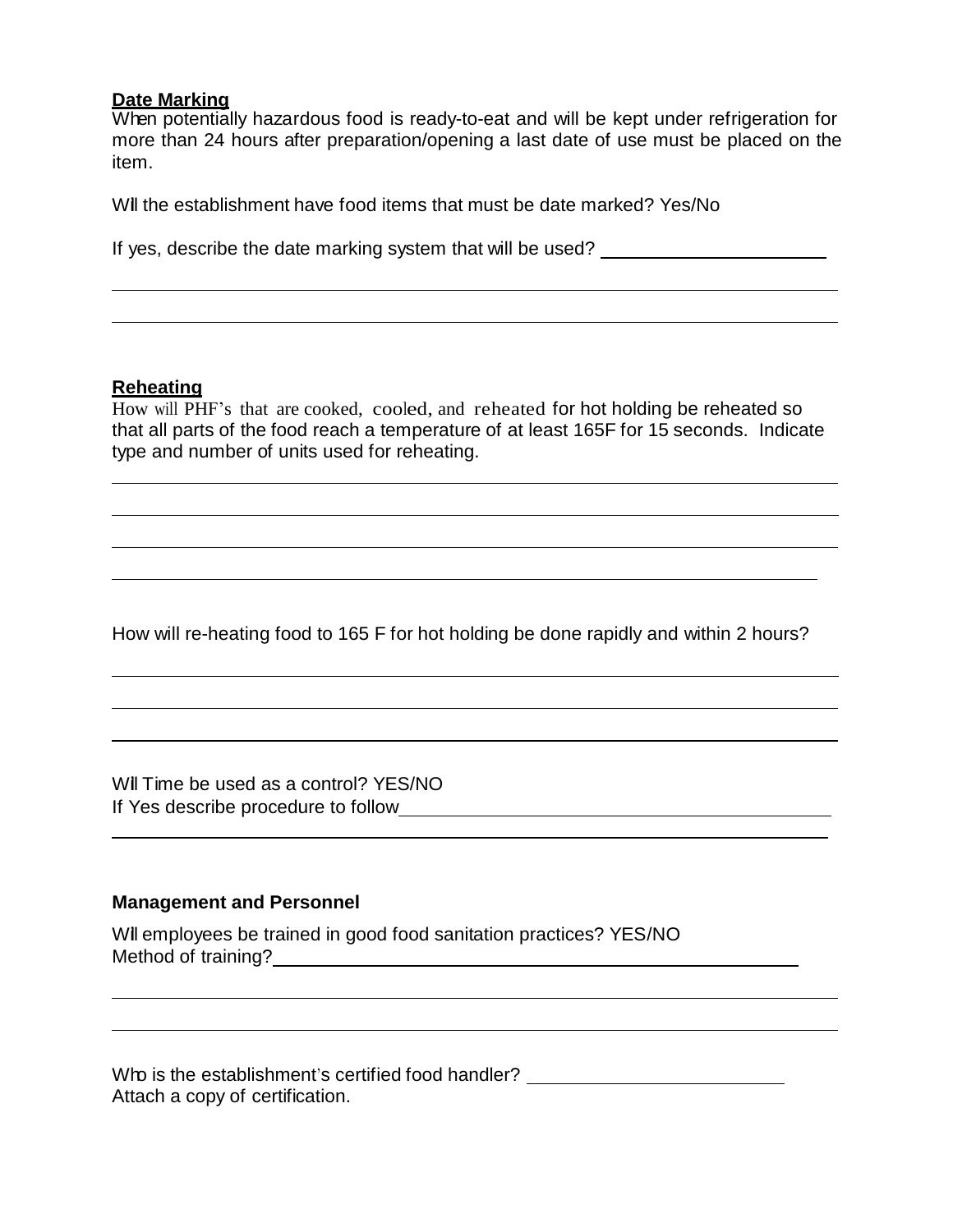#### **Date Marking**

When potentially hazardous food is ready-to-eat and will be kept under refrigeration for more than 24 hours after preparation/opening a last date of use must be placed on the item.

Will the establishment have food items that must be date marked? Yes/No

If yes, describe the date marking system that will be used?

#### **Reheating**

How will PHF's that are cooked, cooled, and reheated for hot holding be reheated so that all parts of the food reach a temperature of at least 165F for 15 seconds. Indicate type and number of units used for reheating.

How will re-heating food to 165 F for hot holding be done rapidly and within 2 hours?

Will Time be used as a control? YES/NO If Yes describe procedure to follow

#### **Management and Personnel**

Will employees be trained in good food sanitation practices? YES/NO Method of training?

Who is the establishment's certified food handler? \_\_\_\_\_\_\_\_\_\_\_\_\_\_\_\_\_\_\_\_\_\_\_\_\_\_\_\_\_ Attach a copy of certification.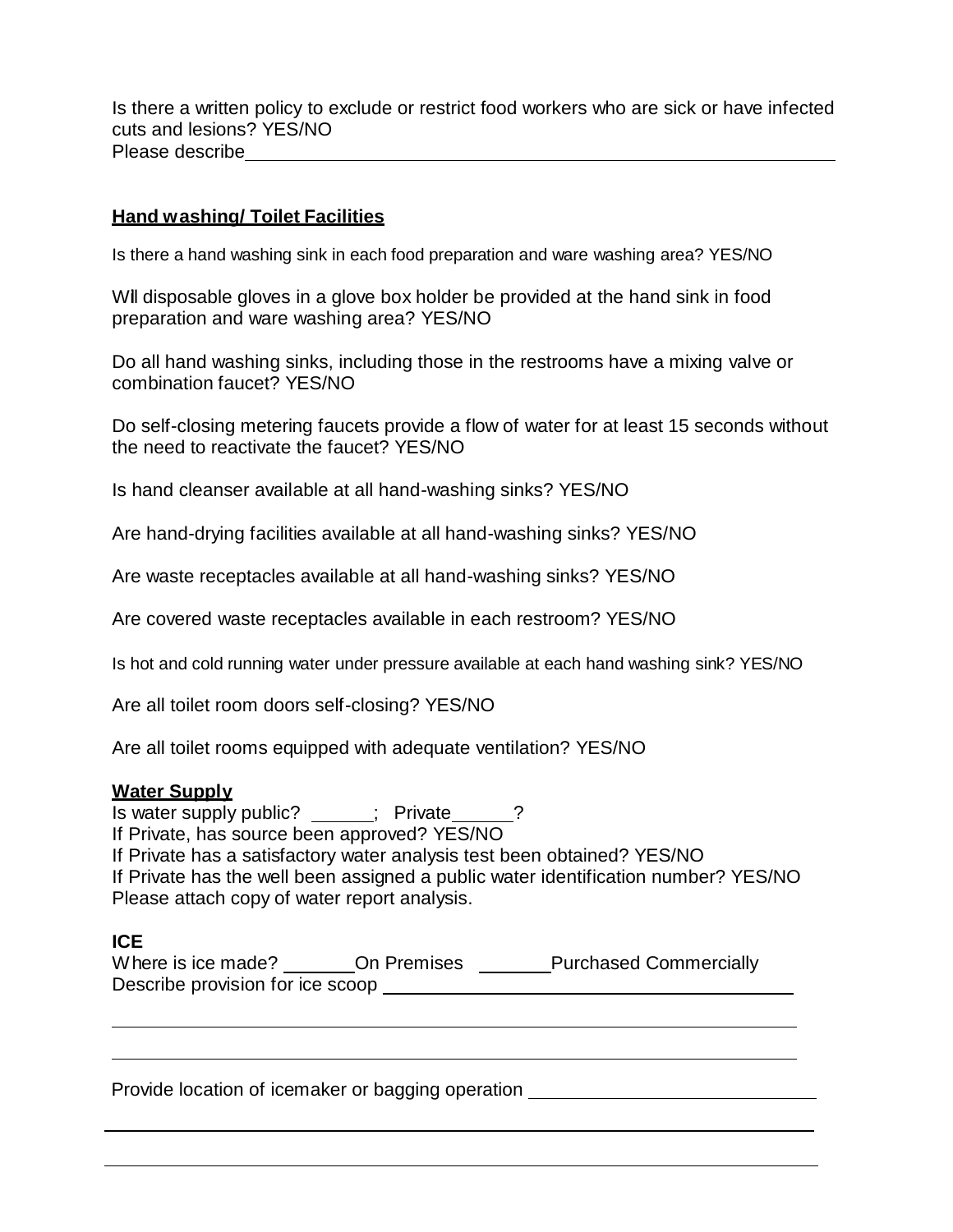Is there a written policy to exclude or restrict food workers who are sick or have infected cuts and lesions? YES/NO Please describe

#### **Hand washing/ Toilet Facilities**

Is there a hand washing sink in each food preparation and ware washing area? YES/NO

Will disposable gloves in a glove box holder be provided at the hand sink in food preparation and ware washing area? YES/NO

Do all hand washing sinks, including those in the restrooms have a mixing valve or combination faucet? YES/NO

Do self-closing metering faucets provide a flow of water for at least 15 seconds without the need to reactivate the faucet? YES/NO

Is hand cleanser available at all hand-washing sinks? YES/NO

Are hand-drying facilities available at all hand-washing sinks? YES/NO

Are waste receptacles available at all hand-washing sinks? YES/NO

Are covered waste receptacles available in each restroom? YES/NO

Is hot and cold running water under pressure available at each hand washing sink? YES/NO

Are all toilet room doors self-closing? YES/NO

Are all toilet rooms equipped with adequate ventilation? YES/NO

#### **Water Supply**

Is water supply public? \_\_\_\_\_; Private \_\_\_\_? If Private, has source been approved? YES/NO If Private has a satisfactory water analysis test been obtained? YES/NO If Private has the well been assigned a public water identification number? YES/NO Please attach copy of water report analysis.

#### **ICE**

| Where is ice made?               | On Premises | <b>Purchased Commercially</b> |
|----------------------------------|-------------|-------------------------------|
| Describe provision for ice scoop |             |                               |

Provide location of icemaker or bagging operation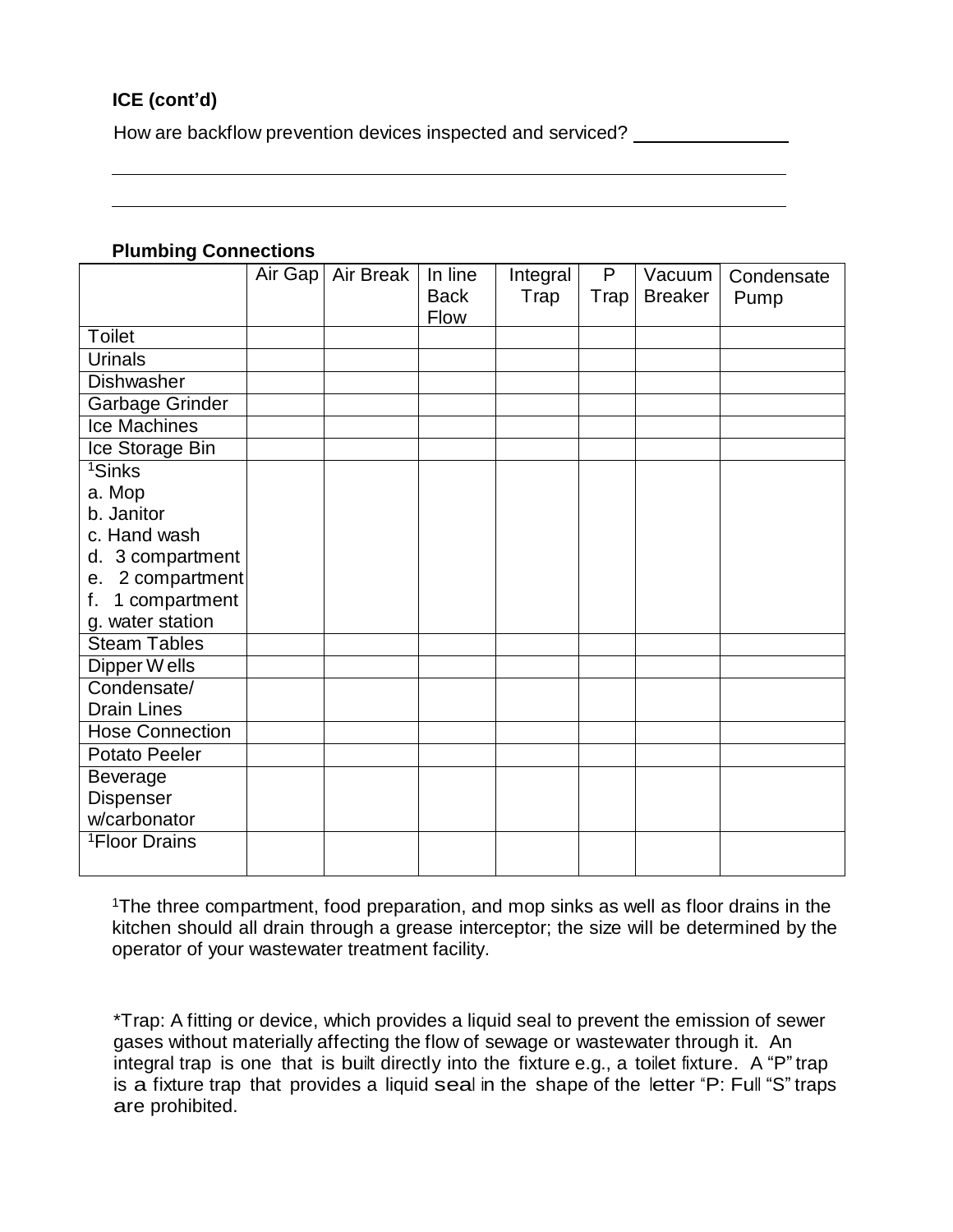# **ICE (cont'd)**

How are backflow prevention devices inspected and serviced?

#### **Plumbing Connections**

|                           | Air Gap | Air Break | In line     | Integral | P    | Vacuum         | Condensate |
|---------------------------|---------|-----------|-------------|----------|------|----------------|------------|
|                           |         |           | <b>Back</b> | Trap     | Trap | <b>Breaker</b> | Pump       |
|                           |         |           | Flow        |          |      |                |            |
| <b>Toilet</b>             |         |           |             |          |      |                |            |
| <b>Urinals</b>            |         |           |             |          |      |                |            |
| Dishwasher                |         |           |             |          |      |                |            |
| Garbage Grinder           |         |           |             |          |      |                |            |
| <b>Ice Machines</b>       |         |           |             |          |      |                |            |
| Ice Storage Bin           |         |           |             |          |      |                |            |
| <sup>1</sup> Sinks        |         |           |             |          |      |                |            |
| a. Mop                    |         |           |             |          |      |                |            |
| b. Janitor                |         |           |             |          |      |                |            |
| c. Hand wash              |         |           |             |          |      |                |            |
| 3 compartment<br>d.       |         |           |             |          |      |                |            |
| 2 compartment<br>е.       |         |           |             |          |      |                |            |
| 1 compartment<br>f.       |         |           |             |          |      |                |            |
| g. water station          |         |           |             |          |      |                |            |
| <b>Steam Tables</b>       |         |           |             |          |      |                |            |
| Dipper Wells              |         |           |             |          |      |                |            |
| Condensate/               |         |           |             |          |      |                |            |
| <b>Drain Lines</b>        |         |           |             |          |      |                |            |
| <b>Hose Connection</b>    |         |           |             |          |      |                |            |
| Potato Peeler             |         |           |             |          |      |                |            |
| <b>Beverage</b>           |         |           |             |          |      |                |            |
| Dispenser                 |         |           |             |          |      |                |            |
| w/carbonator              |         |           |             |          |      |                |            |
| <sup>1</sup> Floor Drains |         |           |             |          |      |                |            |
|                           |         |           |             |          |      |                |            |

<sup>1</sup>The three compartment, food preparation, and mop sinks as well as floor drains in the kitchen should all drain through a grease interceptor; the size will be determined by the operator of your wastewater treatment facility.

\*Trap: A fitting or device, which provides a liquid seal to prevent the emission of sewer gases without materially affecting the flow of sewage or wastewater through it. An integral trap is one that is built directly into the fixture e.g., a toilet fixture. A "P" trap is a fixture trap that provides a liquid seal in the shape of the letter "P: Full "S" traps are prohibited.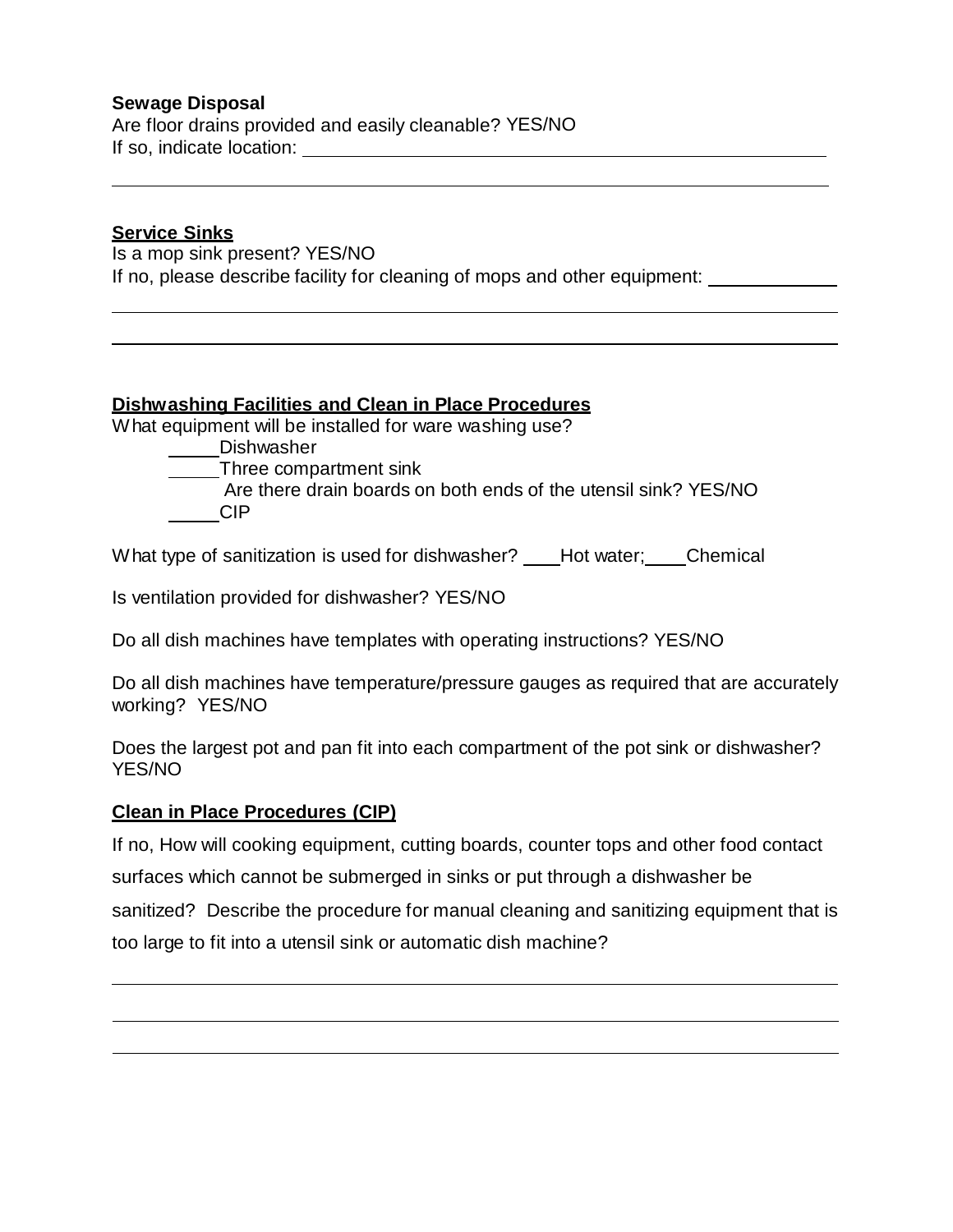## **Sewage Disposal**

Are floor drains provided and easily cleanable? YES/NO If so, indicate location:

#### **Service Sinks**

Is a mop sink present? YES/NO If no, please describe facility for cleaning of mops and other equipment: \_

## **Dishwashing Facilities and Clean in Place Procedures**

What equipment will be installed for ware washing use?

Dishwasher

Three compartment sink

Are there drain boards on both ends of the utensil sink? YES/NO CIP

What type of sanitization is used for dishwasher? \_\_\_\_Hot water; \_\_\_\_Chemical

Is ventilation provided for dishwasher? YES/NO

Do all dish machines have templates with operating instructions? YES/NO

Do all dish machines have temperature/pressure gauges as required that are accurately working? YES/NO

Does the largest pot and pan fit into each compartment of the pot sink or dishwasher? YES/NO

## **Clean in Place Procedures (CIP)**

If no, How will cooking equipment, cutting boards, counter tops and other food contact surfaces which cannot be submerged in sinks or put through a dishwasher be

sanitized? Describe the procedure for manual cleaning and sanitizing equipment that is too large to fit into a utensil sink or automatic dish machine?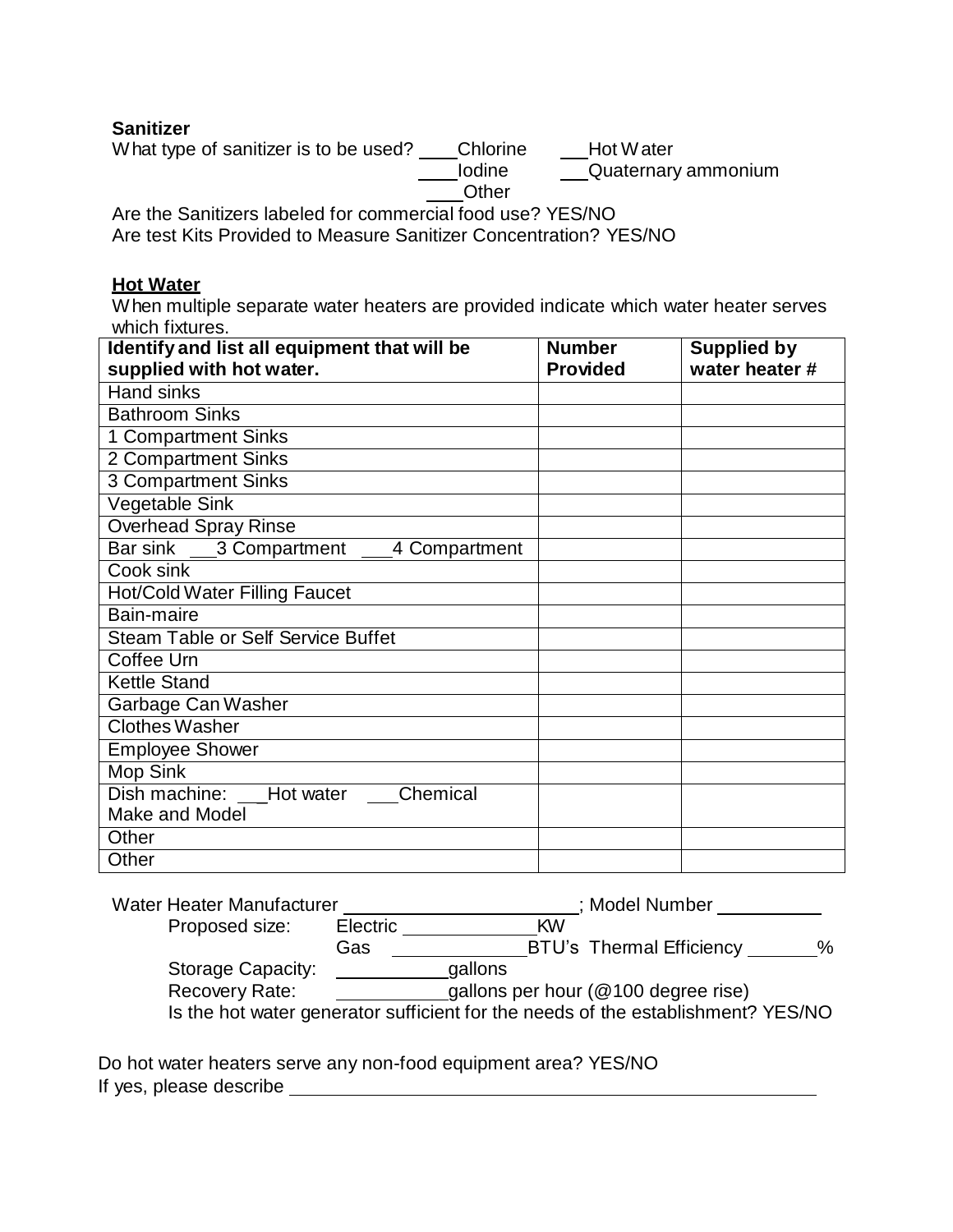## **Sanitizer**

What type of sanitizer is to be used? \_\_\_Chlorine \_\_\_Hot Water **Iodine Quaternary ammonium Other** 

Are the Sanitizers labeled for commercial food use? YES/NO Are test Kits Provided to Measure Sanitizer Concentration? YES/NO

#### **Hot Water**

When multiple separate water heaters are provided indicate which water heater serves which fixtures.

| Identify and list all equipment that will be | <b>Number</b>   | <b>Supplied by</b> |
|----------------------------------------------|-----------------|--------------------|
| supplied with hot water.                     | <b>Provided</b> | water heater #     |
| <b>Hand sinks</b>                            |                 |                    |
| <b>Bathroom Sinks</b>                        |                 |                    |
| 1 Compartment Sinks                          |                 |                    |
| 2 Compartment Sinks                          |                 |                    |
| <b>3 Compartment Sinks</b>                   |                 |                    |
| Vegetable Sink                               |                 |                    |
| Overhead Spray Rinse                         |                 |                    |
| Bar sink 3 Compartment 4 Compartment         |                 |                    |
| Cook sink                                    |                 |                    |
| <b>Hot/Cold Water Filling Faucet</b>         |                 |                    |
| Bain-maire                                   |                 |                    |
| <b>Steam Table or Self Service Buffet</b>    |                 |                    |
| Coffee Urn                                   |                 |                    |
| <b>Kettle Stand</b>                          |                 |                    |
| Garbage Can Washer                           |                 |                    |
| <b>Clothes Washer</b>                        |                 |                    |
| <b>Employee Shower</b>                       |                 |                    |
| Mop Sink                                     |                 |                    |
| Dish machine: LHot water<br>Chemical         |                 |                    |
| Make and Model                               |                 |                    |
| Other                                        |                 |                    |
| Other                                        |                 |                    |

| Water Heater Manufacturer |          | ; Model Number                                                                   |   |  |  |
|---------------------------|----------|----------------------------------------------------------------------------------|---|--|--|
| Proposed size:            | Electric | <b>KW</b>                                                                        |   |  |  |
|                           | Gas      | <b>BTU's Thermal Efficiency</b>                                                  | % |  |  |
| Storage Capacity:         |          | gallons                                                                          |   |  |  |
| Recovery Rate:            |          | gallons per hour (@100 degree rise)                                              |   |  |  |
|                           |          | Is the hot water generator sufficient for the needs of the establishment? YES/NO |   |  |  |

Do hot water heaters serve any non-food equipment area? YES/NO If yes, please describe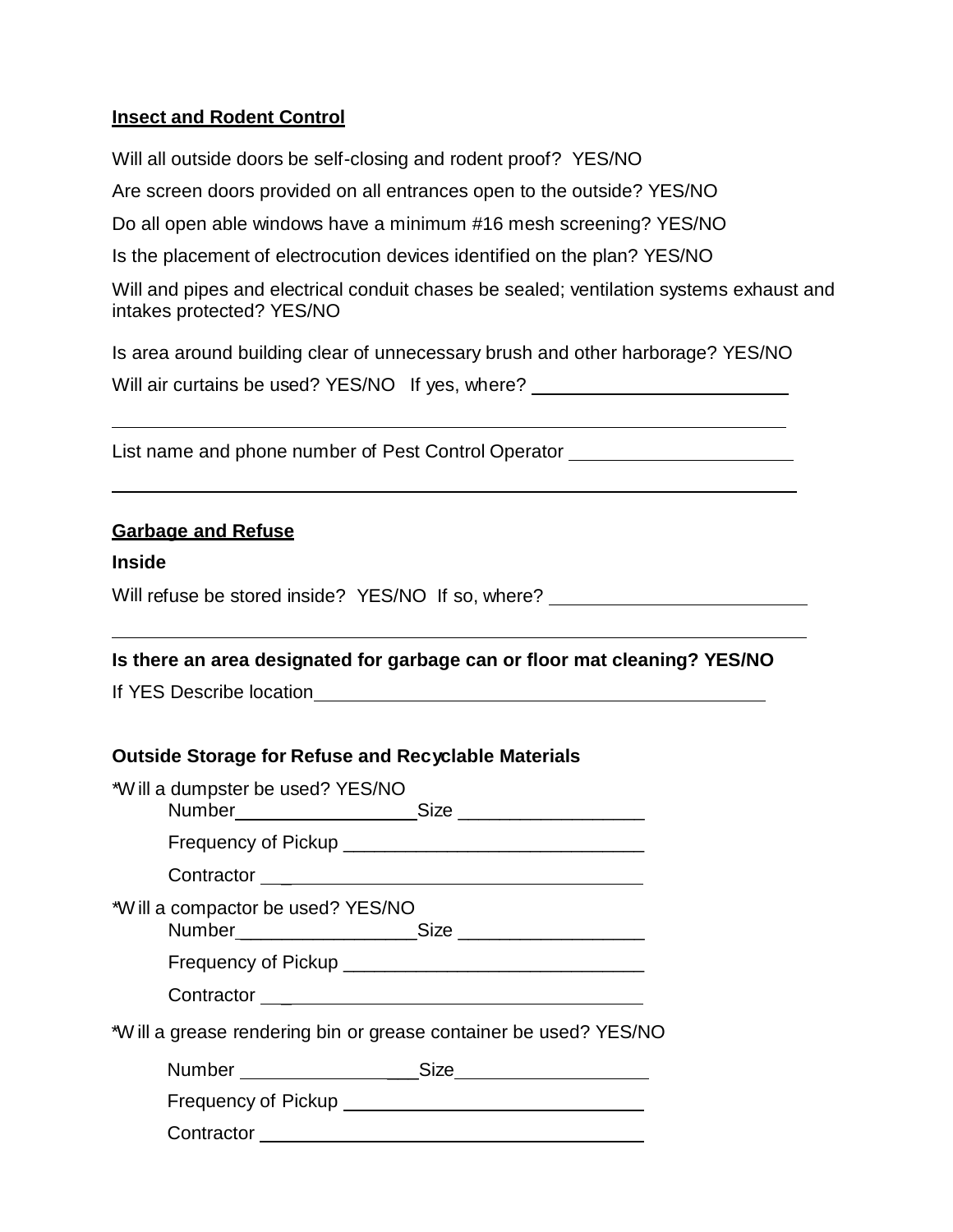#### **Insect and Rodent Control**

Will all outside doors be self-closing and rodent proof? YES/NO Are screen doors provided on all entrances open to the outside? YES/NO Do all open able windows have a minimum #16 mesh screening? YES/NO Is the placement of electrocution devices identified on the plan? YES/NO Will and pipes and electrical conduit chases be sealed; ventilation systems exhaust and intakes protected? YES/NO Is area around building clear of unnecessary brush and other harborage? YES/NO Will air curtains be used? YES/NO If yes, where?

List name and phone number of Pest Control Operator \_\_\_\_\_\_\_\_\_\_\_\_\_\_\_\_\_\_\_\_\_\_\_\_\_\_\_\_

#### **Garbage and Refuse**

#### **Inside**

Will refuse be stored inside? YES/NO If so, where? \_\_\_\_\_\_\_\_\_\_\_\_\_\_\_\_\_\_\_\_\_\_\_\_\_\_\_\_\_

## **Is there an area designated for garbage can or floor mat cleaning? YES/NO**

If YES Describe location

## **Outside Storage for Refuse and Recyclable Materials**

| *W ill a dumpster be used? YES/NO                                |  |
|------------------------------------------------------------------|--|
|                                                                  |  |
|                                                                  |  |
| *Will a compactor be used? YES/NO                                |  |
|                                                                  |  |
|                                                                  |  |
| *Will a grease rendering bin or grease container be used? YES/NO |  |
|                                                                  |  |
|                                                                  |  |
| Contractor                                                       |  |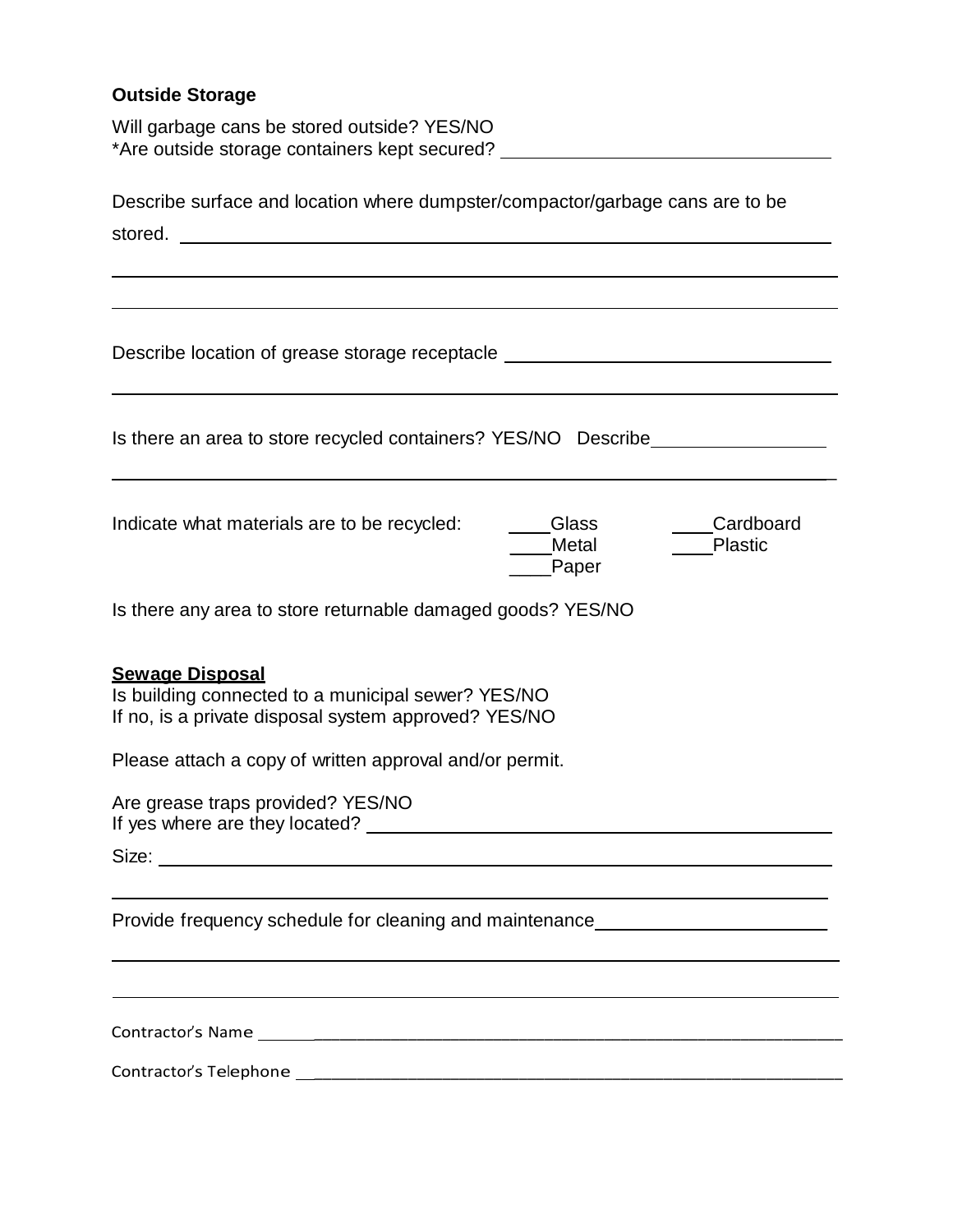# **Outside Storage**

Will garbage cans be stored outside? YES/NO \*Are outside storage containers kept secured?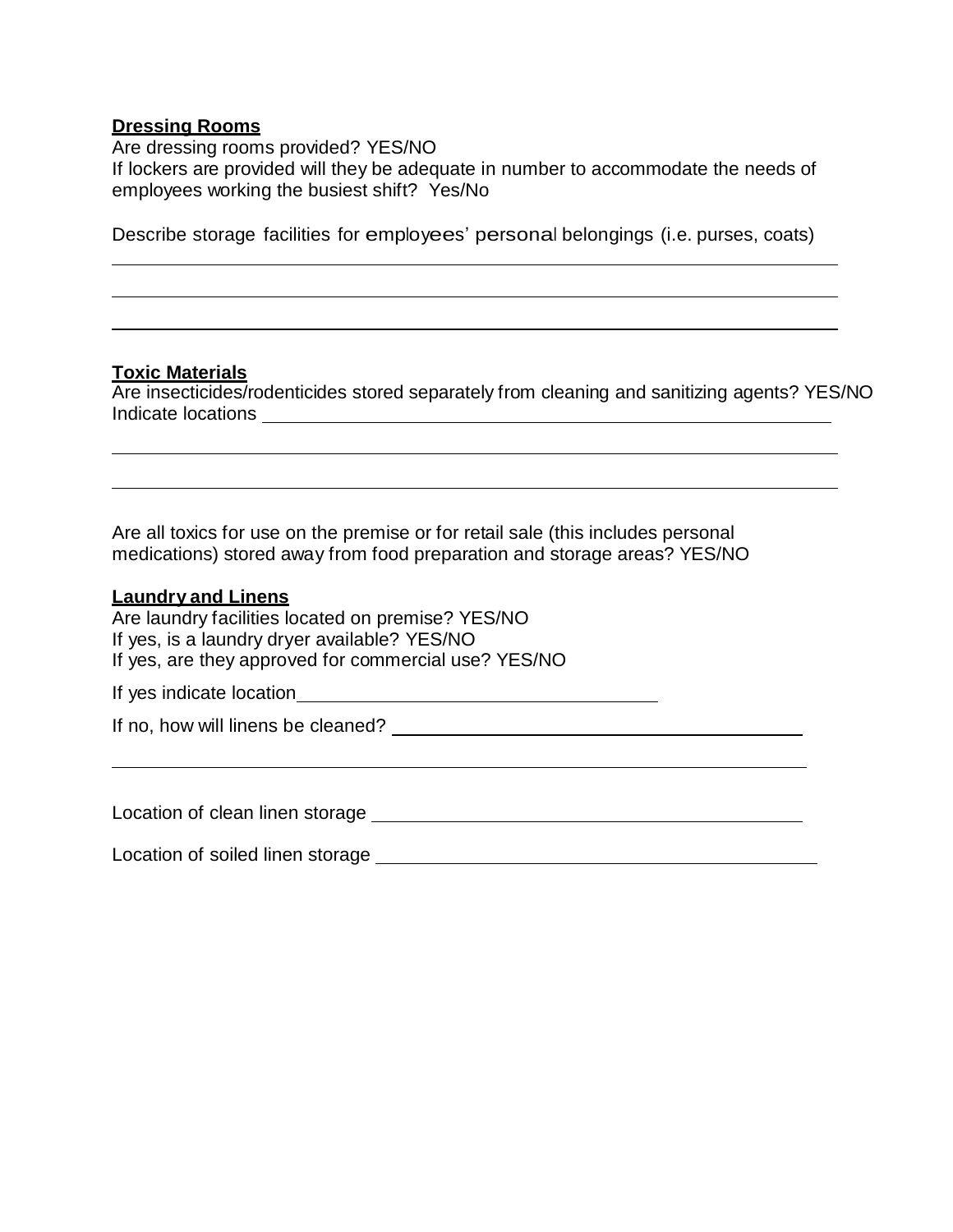#### **Dressing Rooms**

Are dressing rooms provided? YES/NO If lockers are provided will they be adequate in number to accommodate the needs of employees working the busiest shift? Yes/No

Describe storage facilities for employees' personal belongings (i.e. purses, coats)

#### **Toxic Materials**

Are insecticides/rodenticides stored separately from cleaning and sanitizing agents? YES/NO Indicate locations

Are all toxics for use on the premise or for retail sale (this includes personal medications) stored away from food preparation and storage areas? YES/NO

#### **Laundry and Linens**

Are laundry facilities located on premise? YES/NO If yes, is a laundry dryer available? YES/NO If yes, are they approved for commercial use? YES/NO If yes indicate location

If no, how will linens be cleaned?

Location of clean linen storage example and the contract of clean linen storage example and the contract of the contract of the contract of the contract of the contract of the contract of the contract of the contract of th

Location of soiled linen storage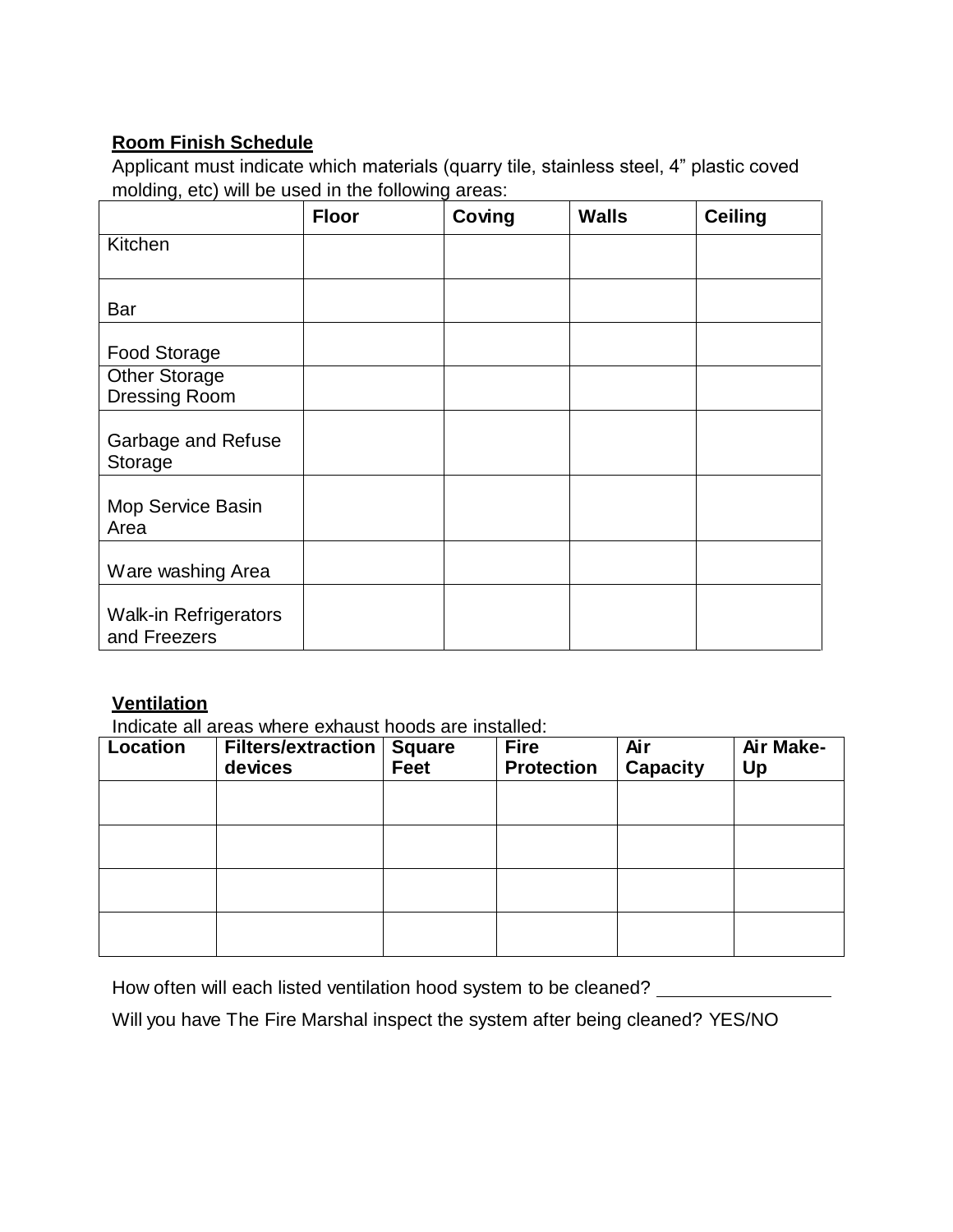# **Room Finish Schedule**

Applicant must indicate which materials (quarry tile, stainless steel, 4" plastic coved molding, etc) will be used in the following areas:

|                                              | <b>Floor</b> | Coving | <b>Walls</b> | <b>Ceiling</b> |
|----------------------------------------------|--------------|--------|--------------|----------------|
| Kitchen                                      |              |        |              |                |
| Bar                                          |              |        |              |                |
| <b>Food Storage</b>                          |              |        |              |                |
| <b>Other Storage</b><br><b>Dressing Room</b> |              |        |              |                |
| Garbage and Refuse<br>Storage                |              |        |              |                |
| Mop Service Basin<br>Area                    |              |        |              |                |
| Ware washing Area                            |              |        |              |                |
| <b>Walk-in Refrigerators</b><br>and Freezers |              |        |              |                |

# **Ventilation**

Indicate all areas where exhaust hoods are installed:

| <b>Location</b> | Filters/extraction  <br>devices | Square<br>Feet | <b>Fire</b><br><b>Protection</b> | Air<br><b>Capacity</b> | Air Make-<br>Up |
|-----------------|---------------------------------|----------------|----------------------------------|------------------------|-----------------|
|                 |                                 |                |                                  |                        |                 |
|                 |                                 |                |                                  |                        |                 |
|                 |                                 |                |                                  |                        |                 |
|                 |                                 |                |                                  |                        |                 |

How often will each listed ventilation hood system to be cleaned? \_\_\_\_\_\_\_\_\_\_\_\_\_\_

Will you have The Fire Marshal inspect the system after being cleaned? YES/NO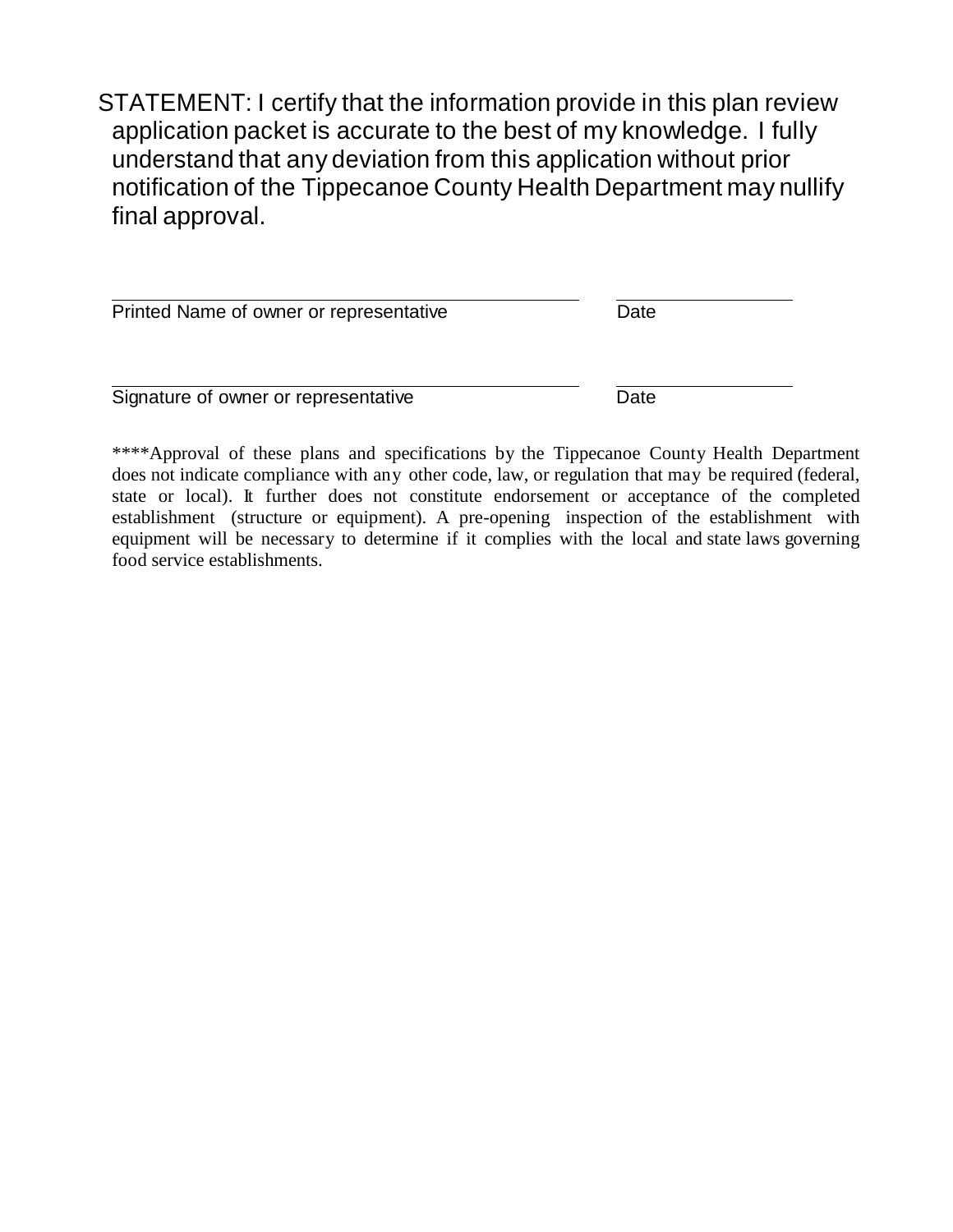STATEMENT: I certify that the information provide in this plan review application packet is accurate to the best of my knowledge. I fully understand that any deviation from this application without prior notification of the Tippecanoe County Health Department may nullify final approval.

| Printed Name of owner or representative | Date |
|-----------------------------------------|------|
| Signature of owner or representative    | Date |

\*\*\*\*Approval of these plans and specifications by the Tippecanoe County Health Department does not indicate compliance with any other code, law, or regulation that may be required (federal, state or local). It further does not constitute endorsement or acceptance of the completed establishment (structure or equipment). A pre-opening inspection of the establishment with equipment will be necessary to determine if it complies with the local and state laws governing food service establishments.